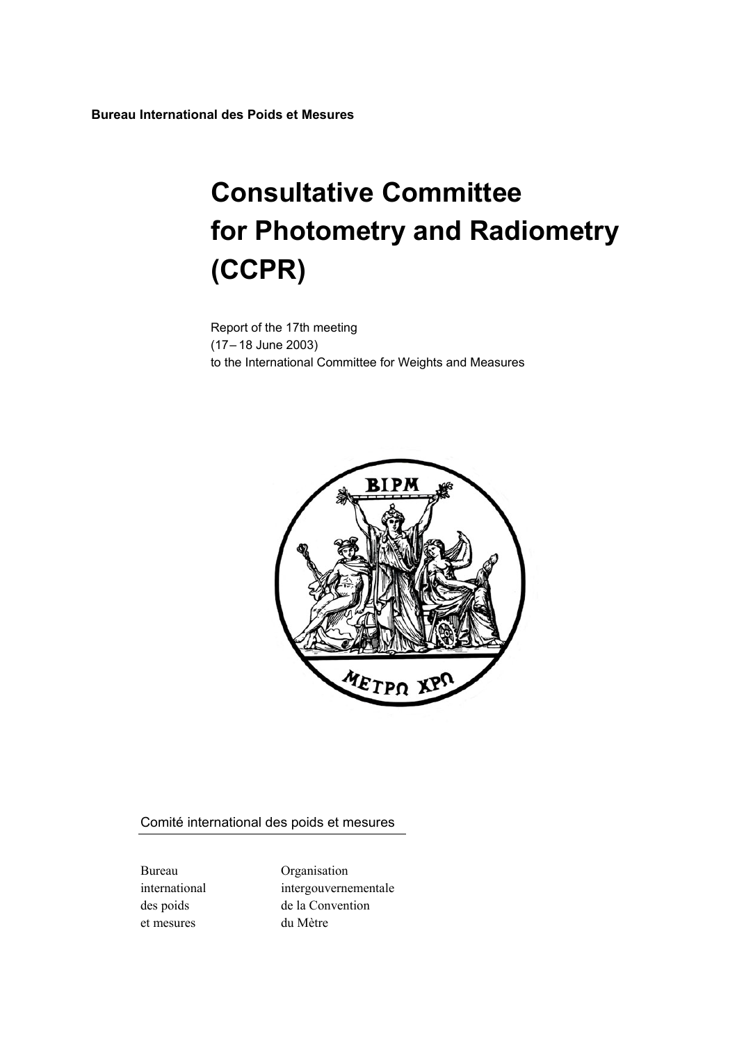**Bureau International des Poids et Mesures** 

# **Consultative Committee for Photometry and Radiometry (CCPR)**

Report of the 17th meeting (17– 18 June 2003) to the International Committee for Weights and Measures



Comité international des poids et mesures

et mesures du Mètre

Bureau Organisation international intergouvernementale des poids de la Convention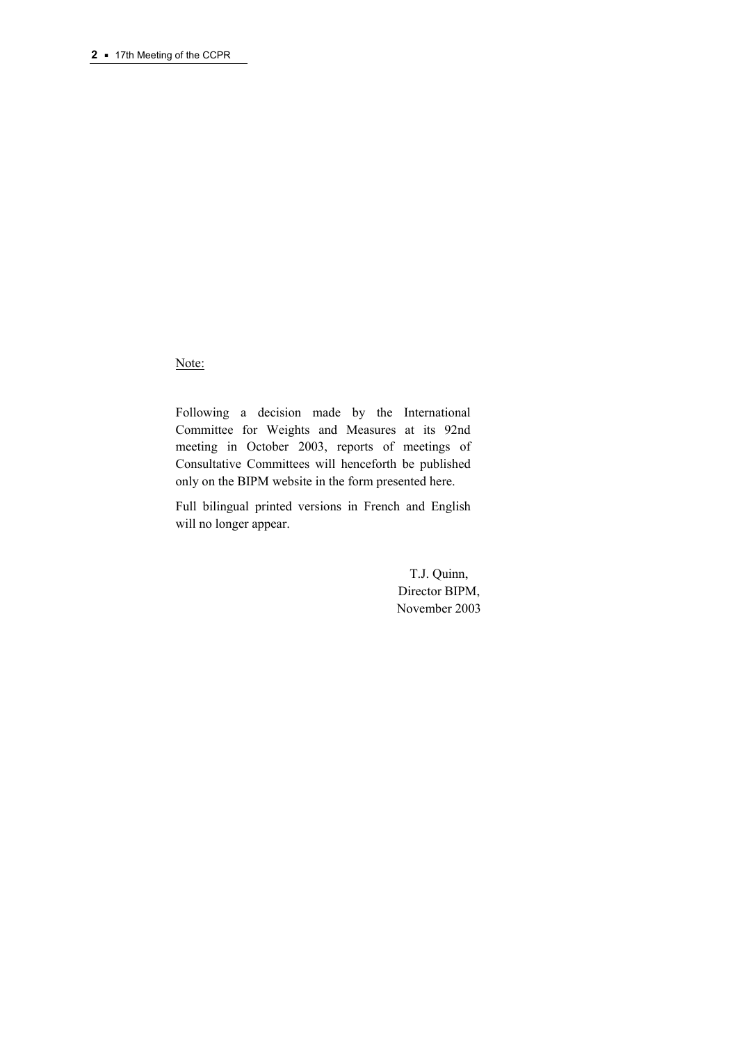Note:

Following a decision made by the International Committee for Weights and Measures at its 92nd meeting in October 2003, reports of meetings of Consultative Committees will henceforth be published only on the BIPM website in the form presented here.

Full bilingual printed versions in French and English will no longer appear.

> T.J. Quinn, Director BIPM, November 2003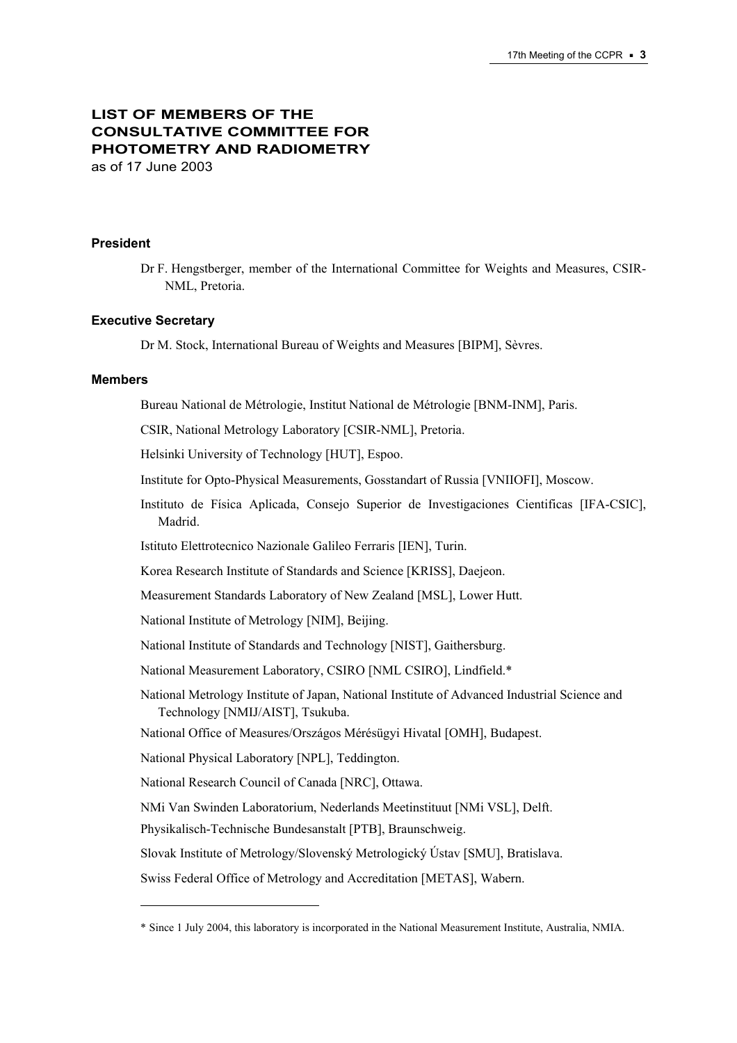# **LIST OF MEMBERS OF THE CONSULTATIVE COMMITTEE FOR PHOTOMETRY AND RADIOMETRY**  as of 17 June 2003

#### **President**

Dr F. Hengstberger, member of the International Committee for Weights and Measures, CSIR-NML, Pretoria.

#### **Executive Secretary**

 $\overline{a}$ 

Dr M. Stock, International Bureau of Weights and Measures [BIPM], Sèvres.

#### **Members**

Bureau National de Métrologie, Institut National de Métrologie [BNM-INM], Paris.

CSIR, National Metrology Laboratory [CSIR-NML], Pretoria.

Helsinki University of Technology [HUT], Espoo.

Institute for Opto-Physical Measurements, Gosstandart of Russia [VNIIOFI], Moscow.

Instituto de Física Aplicada, Consejo Superior de Investigaciones Cientificas [IFA-CSIC], Madrid.

Istituto Elettrotecnico Nazionale Galileo Ferraris [IEN], Turin.

Korea Research Institute of Standards and Science [KRISS], Daejeon.

Measurement Standards Laboratory of New Zealand [MSL], Lower Hutt.

National Institute of Metrology [NIM], Beijing.

National Institute of Standards and Technology [NIST], Gaithersburg.

National Measurement Laboratory, CSIRO [NML CSIRO], Lindfield.\*

National Metrology Institute of Japan, National Institute of Advanced Industrial Science and Technology [NMIJ/AIST], Tsukuba.

National Office of Measures/Országos Mérésügyi Hivatal [OMH], Budapest.

National Physical Laboratory [NPL], Teddington.

National Research Council of Canada [NRC], Ottawa.

NMi Van Swinden Laboratorium, Nederlands Meetinstituut [NMi VSL], Delft.

Physikalisch-Technische Bundesanstalt [PTB], Braunschweig.

Slovak Institute of Metrology/Slovenský Metrologický Ústav [SMU], Bratislava.

Swiss Federal Office of Metrology and Accreditation [METAS], Wabern.

<sup>\*</sup> Since 1 July 2004, this laboratory is incorporated in the National Measurement Institute, Australia, NMIA.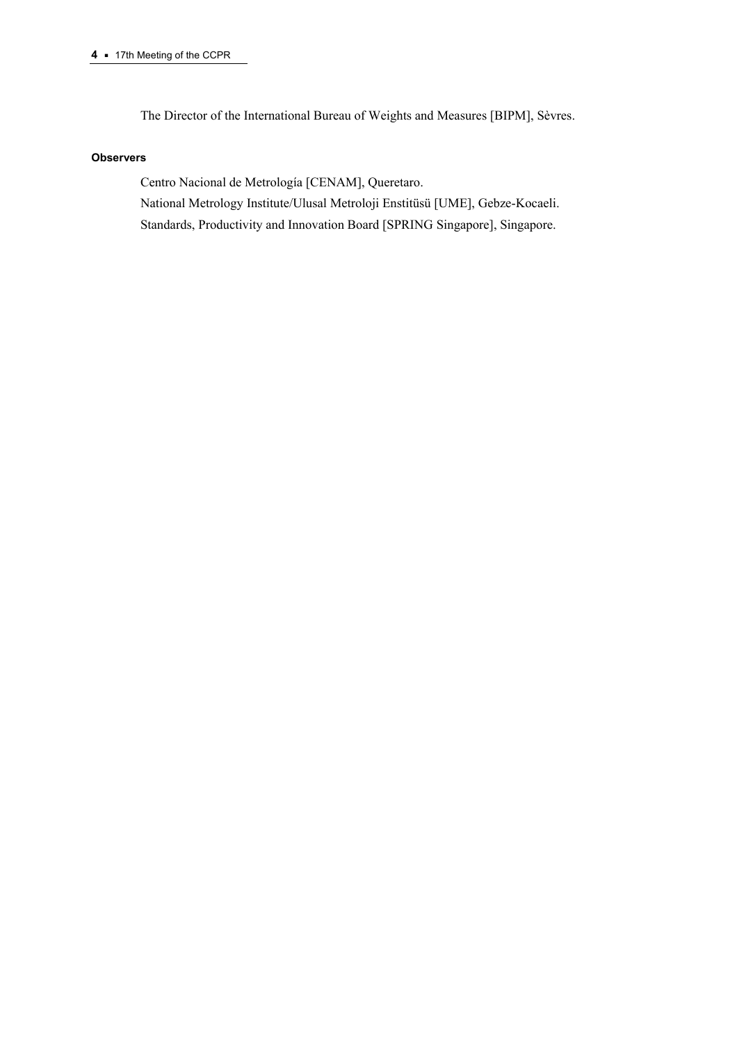The Director of the International Bureau of Weights and Measures [BIPM], Sèvres.

#### **Observers**

Centro Nacional de Metrología [CENAM], Queretaro. National Metrology Institute/Ulusal Metroloji Enstitüsü [UME], Gebze-Kocaeli. Standards, Productivity and Innovation Board [SPRING Singapore], Singapore.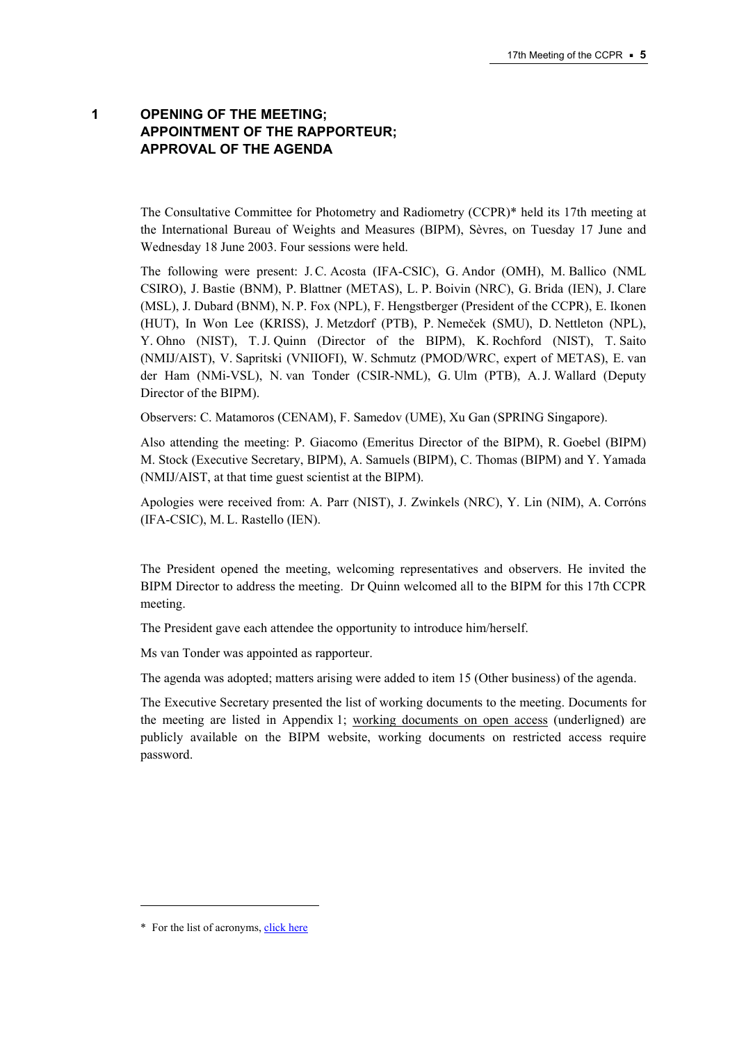# **1 OPENING OF THE MEETING; APPOINTMENT OF THE RAPPORTEUR; APPROVAL OF THE AGENDA**

The Consultative Committee for Photometry and Radiometry (CCPR)\* held its 17th meeting at the International Bureau of Weights and Measures (BIPM), Sèvres, on Tuesday 17 June and Wednesday 18 June 2003. Four sessions were held.

The following were present: J.C. Acosta (IFA-CSIC), G. Andor (OMH), M. Ballico (NML CSIRO), J. Bastie (BNM), P. Blattner (METAS), L. P. Boivin (NRC), G. Brida (IEN), J. Clare (MSL), J. Dubard (BNM), N. P. Fox (NPL), F. Hengstberger (President of the CCPR), E. Ikonen (HUT), In Won Lee (KRISS), J. Metzdorf (PTB), P. Nemeček (SMU), D. Nettleton (NPL), Y. Ohno (NIST), T.J. Quinn (Director of the BIPM), K. Rochford (NIST), T. Saito (NMIJ/AIST), V. Sapritski (VNIIOFI), W. Schmutz (PMOD/WRC, expert of METAS), E. van der Ham (NMi-VSL), N. van Tonder (CSIR-NML), G. Ulm (PTB), A.J. Wallard (Deputy Director of the BIPM).

Observers: C. Matamoros (CENAM), F. Samedov (UME), Xu Gan (SPRING Singapore).

Also attending the meeting: P. Giacomo (Emeritus Director of the BIPM), R. Goebel (BIPM) M. Stock (Executive Secretary, BIPM), A. Samuels (BIPM), C. Thomas (BIPM) and Y. Yamada (NMIJ/AIST, at that time guest scientist at the BIPM).

Apologies were received from: A. Parr (NIST), J. Zwinkels (NRC), Y. Lin (NIM), A. Corróns (IFA-CSIC), M. L. Rastello (IEN).

The President opened the meeting, welcoming representatives and observers. He invited the BIPM Director to address the meeting. Dr Quinn welcomed all to the BIPM for this 17th CCPR meeting.

The President gave each attendee the opportunity to introduce him/herself.

Ms van Tonder was appointed as rapporteur.

The agenda was adopted; matters arising were added to item 15 (Other business) of the agenda.

The Executive Secretary presented the list of working documents to the meeting. Documents for the meeting are listed in Appendix 1; [working documents on open access \(](https://www.bipm.org/cc/AllowedDocuments.jsp?cc=CCPR)underligned) are publicly available on the BIPM website, working documents on restricted access require password.

 $\overline{a}$ 

<sup>\*</sup> For the list of acronym[s, click here](https://www.bipm.org/en/practical_info/acronyms.html)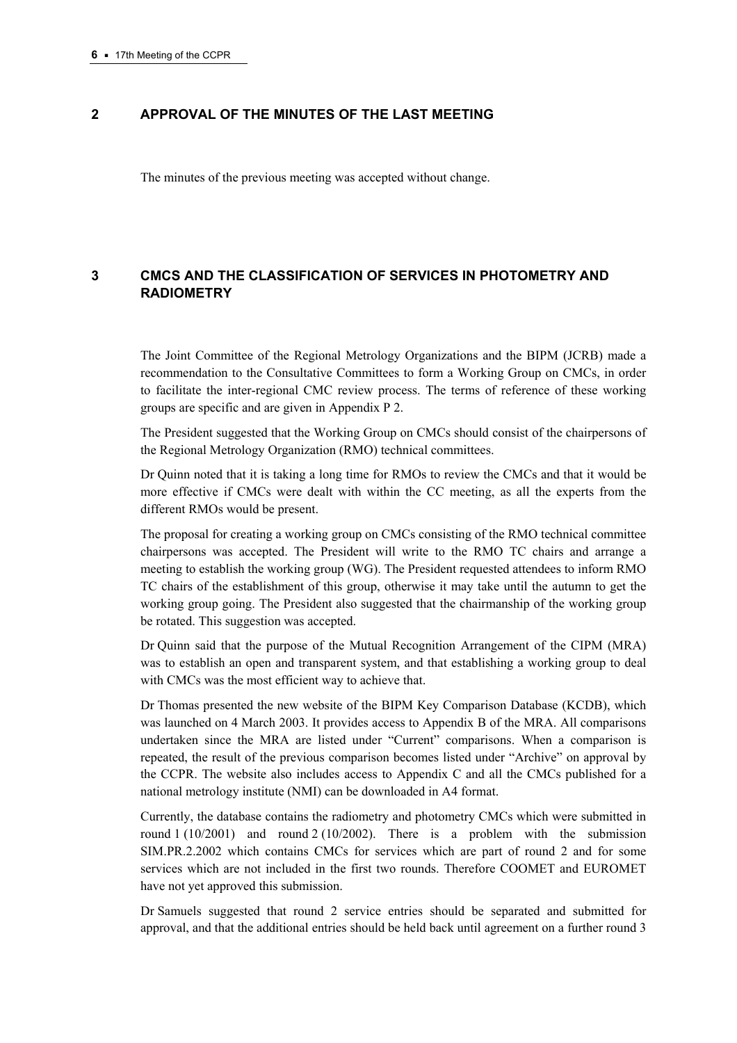## **2 APPROVAL OF THE MINUTES OF THE LAST MEETING**

The minutes of the previous meeting was accepted without change.

# **3 CMCS AND THE CLASSIFICATION OF SERVICES IN PHOTOMETRY AND RADIOMETRY**

The Joint Committee of the Regional Metrology Organizations and the BIPM (JCRB) made a recommendation to the Consultative Committees to form a Working Group on CMCs, in order to facilitate the inter-regional CMC review process. The terms of reference of these working groups are specific and are given in Appendix P 2.

The President suggested that the Working Group on CMCs should consist of the chairpersons of the Regional Metrology Organization (RMO) technical committees.

Dr Quinn noted that it is taking a long time for RMOs to review the CMCs and that it would be more effective if CMCs were dealt with within the CC meeting, as all the experts from the different RMOs would be present.

The proposal for creating a working group on CMCs consisting of the RMO technical committee chairpersons was accepted. The President will write to the RMO TC chairs and arrange a meeting to establish the working group (WG). The President requested attendees to inform RMO TC chairs of the establishment of this group, otherwise it may take until the autumn to get the working group going. The President also suggested that the chairmanship of the working group be rotated. This suggestion was accepted.

Dr Quinn said that the purpose of the Mutual Recognition Arrangement of the CIPM (MRA) was to establish an open and transparent system, and that establishing a working group to deal with CMCs was the most efficient way to achieve that.

Dr Thomas presented the new website of the BIPM Key Comparison Database (KCDB), which was launched on 4 March 2003. It provides access to Appendix B of the MRA. All comparisons undertaken since the MRA are listed under "Current" comparisons. When a comparison is repeated, the result of the previous comparison becomes listed under "Archive" on approval by the CCPR. The website also includes access to Appendix C and all the CMCs published for a national metrology institute (NMI) can be downloaded in A4 format.

Currently, the database contains the radiometry and photometry CMCs which were submitted in round 1 (10/2001) and round 2 (10/2002). There is a problem with the submission SIM.PR.2.2002 which contains CMCs for services which are part of round 2 and for some services which are not included in the first two rounds. Therefore COOMET and EUROMET have not yet approved this submission.

Dr Samuels suggested that round 2 service entries should be separated and submitted for approval, and that the additional entries should be held back until agreement on a further round 3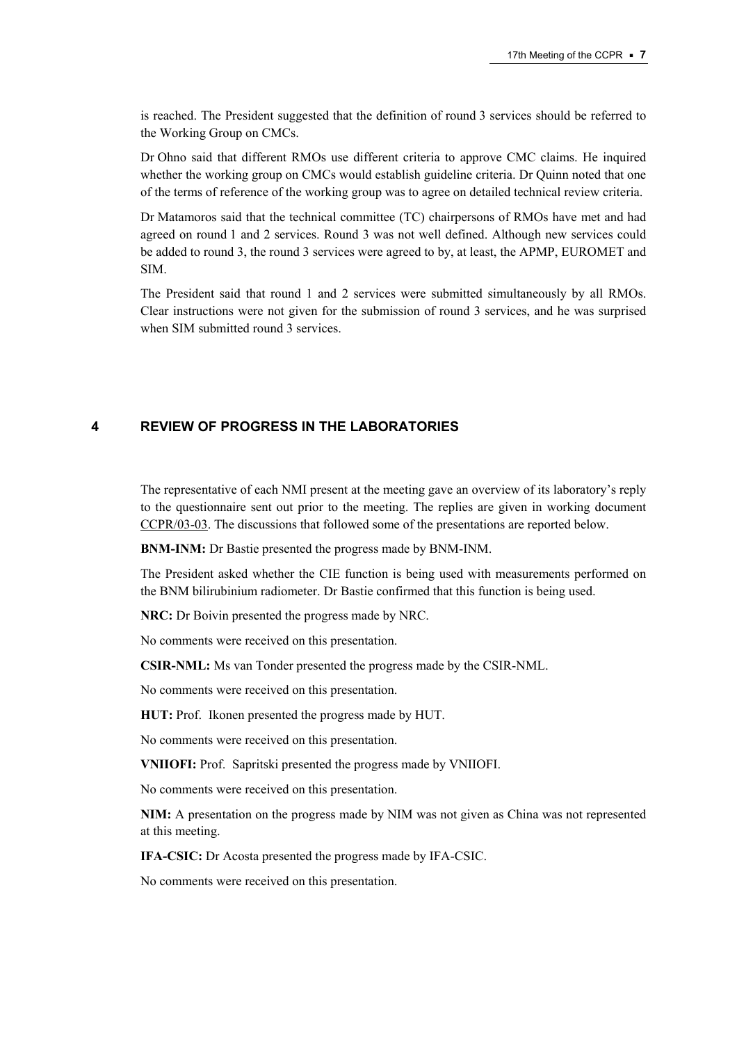is reached. The President suggested that the definition of round 3 services should be referred to the Working Group on CMCs.

Dr Ohno said that different RMOs use different criteria to approve CMC claims. He inquired whether the working group on CMCs would establish guideline criteria. Dr Quinn noted that one of the terms of reference of the working group was to agree on detailed technical review criteria.

Dr Matamoros said that the technical committee (TC) chairpersons of RMOs have met and had agreed on round 1 and 2 services. Round 3 was not well defined. Although new services could be added to round 3, the round 3 services were agreed to by, at least, the APMP, EUROMET and SIM.

The President said that round 1 and 2 services were submitted simultaneously by all RMOs. Clear instructions were not given for the submission of round 3 services, and he was surprised when SIM submitted round 3 services.

# **4 REVIEW OF PROGRESS IN THE LABORATORIES**

The representative of each NMI present at the meeting gave an overview of its laboratory's reply to the questionnaire sent out prior to the meeting. The replies are given in working document [CCPR/03-03. T](https://www.bipm.org/cc/CCPR/Allowed/17/CCPR03-03.pdf)he discussions that followed some of the presentations are reported below.

**BNM-INM:** Dr Bastie presented the progress made by BNM-INM.

The President asked whether the CIE function is being used with measurements performed on the BNM bilirubinium radiometer. Dr Bastie confirmed that this function is being used.

**NRC:** Dr Boivin presented the progress made by NRC.

No comments were received on this presentation.

**CSIR-NML:** Ms van Tonder presented the progress made by the CSIR-NML.

No comments were received on this presentation.

**HUT:** Prof. Ikonen presented the progress made by HUT.

No comments were received on this presentation.

**VNIIOFI:** Prof. Sapritski presented the progress made by VNIIOFI.

No comments were received on this presentation.

**NIM:** A presentation on the progress made by NIM was not given as China was not represented at this meeting.

**IFA-CSIC:** Dr Acosta presented the progress made by IFA-CSIC.

No comments were received on this presentation.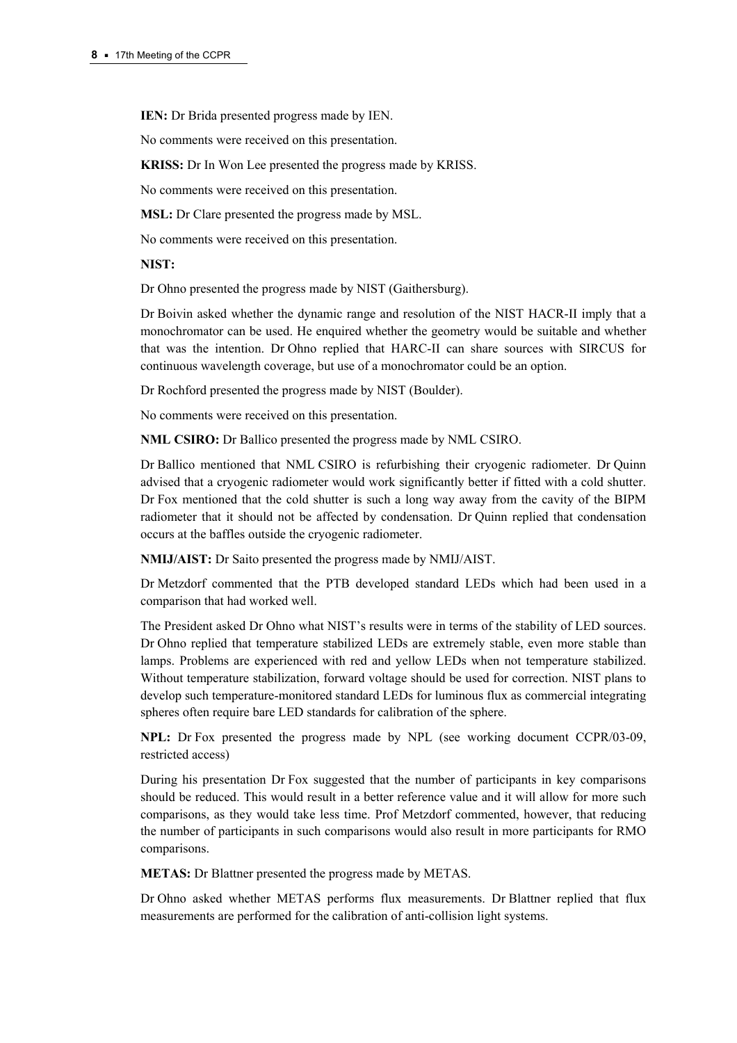**IEN:** Dr Brida presented progress made by IEN.

No comments were received on this presentation.

**KRISS:** Dr In Won Lee presented the progress made by KRISS.

No comments were received on this presentation.

**MSL:** Dr Clare presented the progress made by MSL.

No comments were received on this presentation.

## **NIST:**

Dr Ohno presented the progress made by NIST (Gaithersburg).

Dr Boivin asked whether the dynamic range and resolution of the NIST HACR-II imply that a monochromator can be used. He enquired whether the geometry would be suitable and whether that was the intention. Dr Ohno replied that HARC-II can share sources with SIRCUS for continuous wavelength coverage, but use of a monochromator could be an option.

Dr Rochford presented the progress made by NIST (Boulder).

No comments were received on this presentation.

**NML CSIRO:** Dr Ballico presented the progress made by NML CSIRO.

Dr Ballico mentioned that NML CSIRO is refurbishing their cryogenic radiometer. Dr Quinn advised that a cryogenic radiometer would work significantly better if fitted with a cold shutter. Dr Fox mentioned that the cold shutter is such a long way away from the cavity of the BIPM radiometer that it should not be affected by condensation. Dr Quinn replied that condensation occurs at the baffles outside the cryogenic radiometer.

**NMIJ/AIST:** Dr Saito presented the progress made by NMIJ/AIST.

Dr Metzdorf commented that the PTB developed standard LEDs which had been used in a comparison that had worked well.

The President asked Dr Ohno what NIST's results were in terms of the stability of LED sources. Dr Ohno replied that temperature stabilized LEDs are extremely stable, even more stable than lamps. Problems are experienced with red and yellow LEDs when not temperature stabilized. Without temperature stabilization, forward voltage should be used for correction. NIST plans to develop such temperature-monitored standard LEDs for luminous flux as commercial integrating spheres often require bare LED standards for calibration of the sphere.

**NPL:** Dr Fox presented the progress made by NPL (see working document CCPR/03-09, restricted access)

During his presentation Dr Fox suggested that the number of participants in key comparisons should be reduced. This would result in a better reference value and it will allow for more such comparisons, as they would take less time. Prof Metzdorf commented, however, that reducing the number of participants in such comparisons would also result in more participants for RMO comparisons.

**METAS:** Dr Blattner presented the progress made by METAS.

Dr Ohno asked whether METAS performs flux measurements. Dr Blattner replied that flux measurements are performed for the calibration of anti-collision light systems.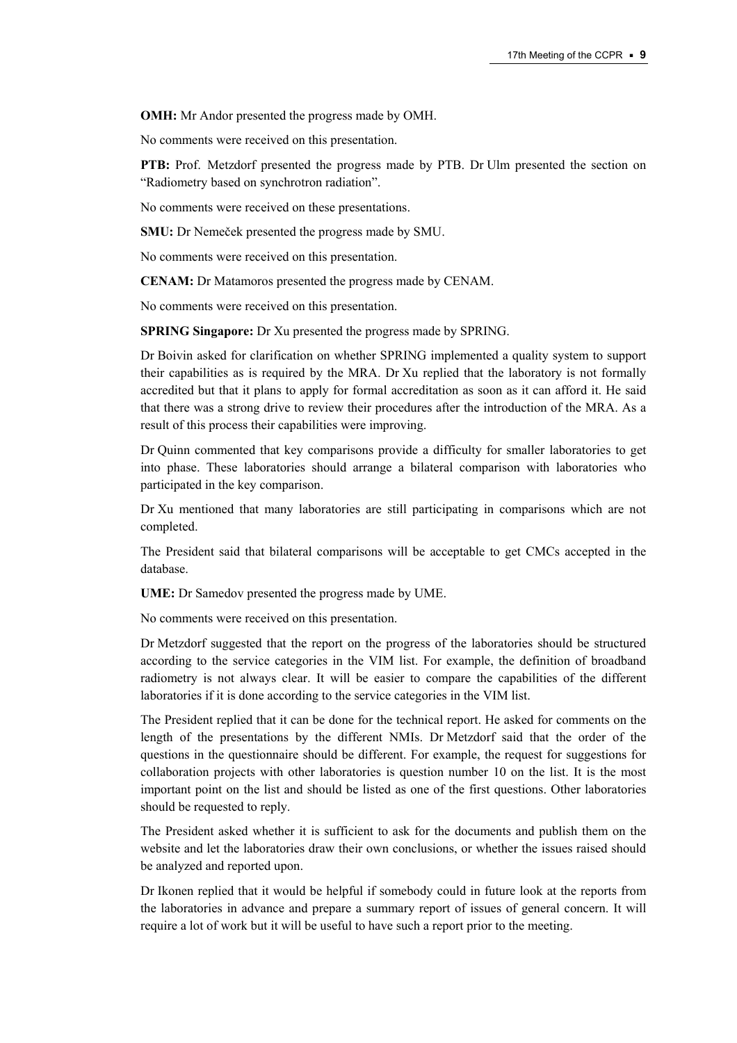**OMH:** Mr Andor presented the progress made by OMH.

No comments were received on this presentation.

**PTB:** Prof. Metzdorf presented the progress made by PTB. Dr Ulm presented the section on "Radiometry based on synchrotron radiation".

No comments were received on these presentations.

**SMU:** Dr Nemeček presented the progress made by SMU.

No comments were received on this presentation.

**CENAM:** Dr Matamoros presented the progress made by CENAM.

No comments were received on this presentation.

**SPRING Singapore:** Dr Xu presented the progress made by SPRING.

Dr Boivin asked for clarification on whether SPRING implemented a quality system to support their capabilities as is required by the MRA. Dr Xu replied that the laboratory is not formally accredited but that it plans to apply for formal accreditation as soon as it can afford it. He said that there was a strong drive to review their procedures after the introduction of the MRA. As a result of this process their capabilities were improving.

Dr Quinn commented that key comparisons provide a difficulty for smaller laboratories to get into phase. These laboratories should arrange a bilateral comparison with laboratories who participated in the key comparison.

Dr Xu mentioned that many laboratories are still participating in comparisons which are not completed.

The President said that bilateral comparisons will be acceptable to get CMCs accepted in the database.

**UME:** Dr Samedov presented the progress made by UME.

No comments were received on this presentation.

Dr Metzdorf suggested that the report on the progress of the laboratories should be structured according to the service categories in the VIM list. For example, the definition of broadband radiometry is not always clear. It will be easier to compare the capabilities of the different laboratories if it is done according to the service categories in the VIM list.

The President replied that it can be done for the technical report. He asked for comments on the length of the presentations by the different NMIs. Dr Metzdorf said that the order of the questions in the questionnaire should be different. For example, the request for suggestions for collaboration projects with other laboratories is question number 10 on the list. It is the most important point on the list and should be listed as one of the first questions. Other laboratories should be requested to reply.

The President asked whether it is sufficient to ask for the documents and publish them on the website and let the laboratories draw their own conclusions, or whether the issues raised should be analyzed and reported upon.

Dr Ikonen replied that it would be helpful if somebody could in future look at the reports from the laboratories in advance and prepare a summary report of issues of general concern. It will require a lot of work but it will be useful to have such a report prior to the meeting.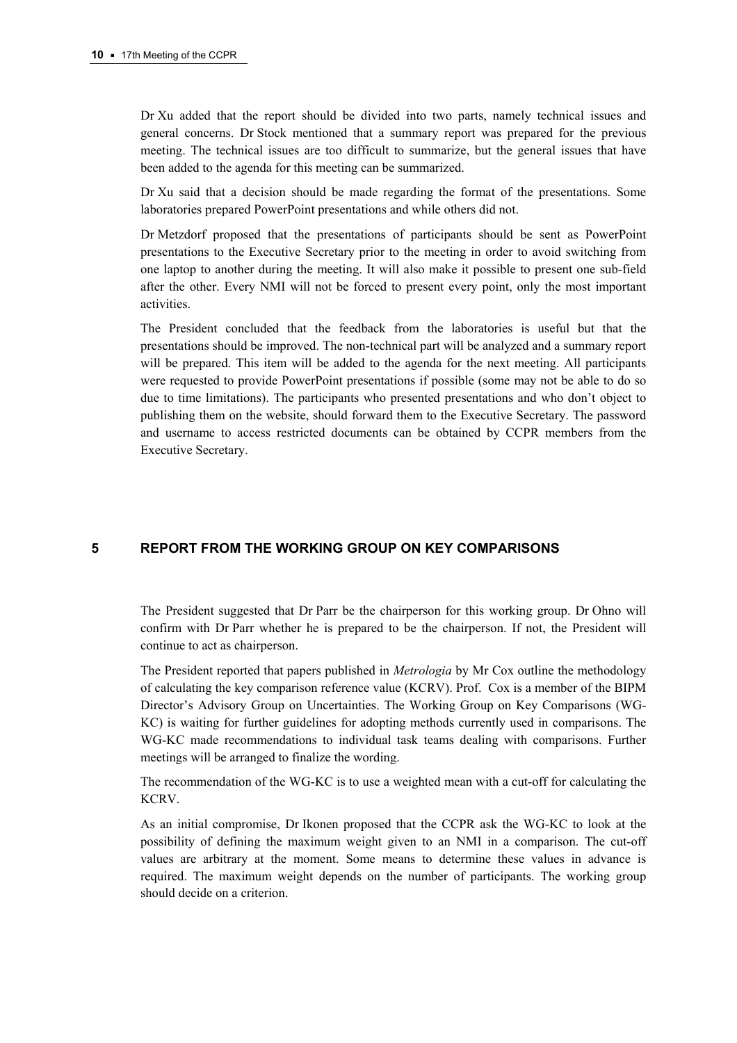Dr Xu added that the report should be divided into two parts, namely technical issues and general concerns. Dr Stock mentioned that a summary report was prepared for the previous meeting. The technical issues are too difficult to summarize, but the general issues that have been added to the agenda for this meeting can be summarized.

Dr Xu said that a decision should be made regarding the format of the presentations. Some laboratories prepared PowerPoint presentations and while others did not.

Dr Metzdorf proposed that the presentations of participants should be sent as PowerPoint presentations to the Executive Secretary prior to the meeting in order to avoid switching from one laptop to another during the meeting. It will also make it possible to present one sub-field after the other. Every NMI will not be forced to present every point, only the most important activities.

The President concluded that the feedback from the laboratories is useful but that the presentations should be improved. The non-technical part will be analyzed and a summary report will be prepared. This item will be added to the agenda for the next meeting. All participants were requested to provide PowerPoint presentations if possible (some may not be able to do so due to time limitations). The participants who presented presentations and who don't object to publishing them on the website, should forward them to the Executive Secretary. The password and username to access restricted documents can be obtained by CCPR members from the Executive Secretary.

# **5 REPORT FROM THE WORKING GROUP ON KEY COMPARISONS**

The President suggested that Dr Parr be the chairperson for this working group. Dr Ohno will confirm with Dr Parr whether he is prepared to be the chairperson. If not, the President will continue to act as chairperson.

The President reported that papers published in *Metrologia* by Mr Cox outline the methodology of calculating the key comparison reference value (KCRV). Prof. Cox is a member of the BIPM Director's Advisory Group on Uncertainties. The Working Group on Key Comparisons (WG-KC) is waiting for further guidelines for adopting methods currently used in comparisons. The WG-KC made recommendations to individual task teams dealing with comparisons. Further meetings will be arranged to finalize the wording.

The recommendation of the WG-KC is to use a weighted mean with a cut-off for calculating the KCRV.

As an initial compromise, Dr Ikonen proposed that the CCPR ask the WG-KC to look at the possibility of defining the maximum weight given to an NMI in a comparison. The cut-off values are arbitrary at the moment. Some means to determine these values in advance is required. The maximum weight depends on the number of participants. The working group should decide on a criterion.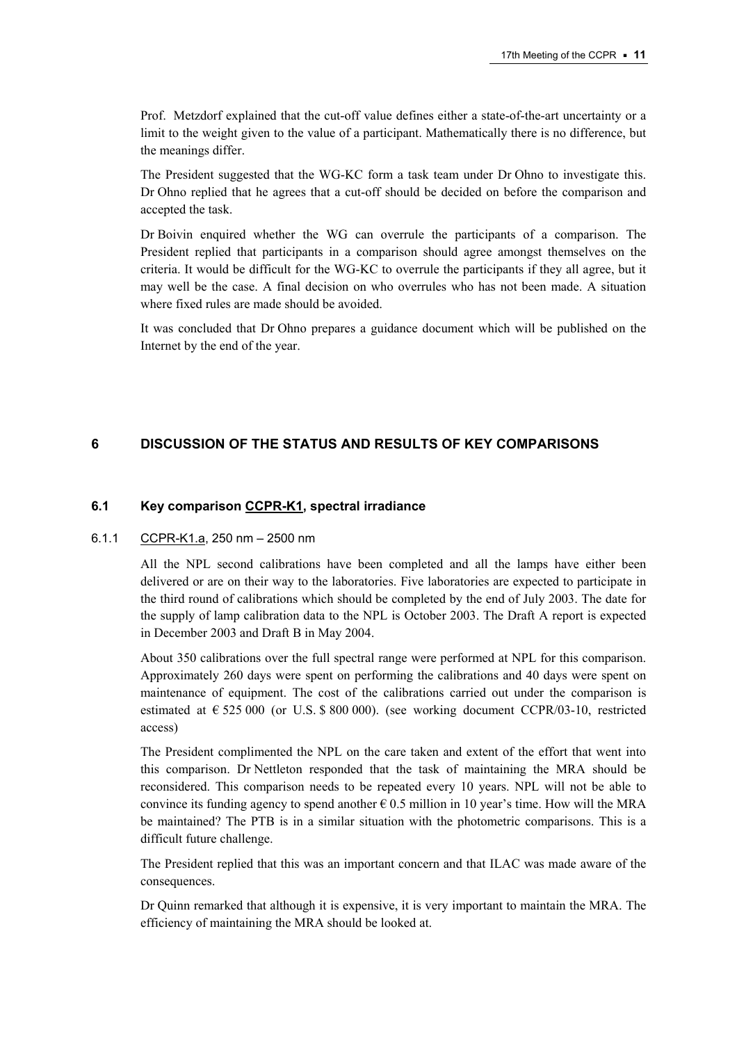Prof. Metzdorf explained that the cut-off value defines either a state-of-the-art uncertainty or a limit to the weight given to the value of a participant. Mathematically there is no difference, but the meanings differ.

The President suggested that the WG-KC form a task team under Dr Ohno to investigate this. Dr Ohno replied that he agrees that a cut-off should be decided on before the comparison and accepted the task.

Dr Boivin enquired whether the WG can overrule the participants of a comparison. The President replied that participants in a comparison should agree amongst themselves on the criteria. It would be difficult for the WG-KC to overrule the participants if they all agree, but it may well be the case. A final decision on who overrules who has not been made. A situation where fixed rules are made should be avoided.

It was concluded that Dr Ohno prepares a guidance document which will be published on the Internet by the end of the year.

# **6 DISCUSSION OF THE STATUS AND RESULTS OF KEY COMPARISONS**

## **6.1 Key compariso[n CCPR-K1, s](http://kcdb.bipm.org/AppendixB/KCDB_ApB_search_result.asp?search=2&cmp_cod_search=CCPR-K1&match_exact=0)pectral irradiance**

#### 6.1.1 [CCPR-K1.a, 2](http://kcdb.bipm.org/AppendixB/KCDB_ApB_info.asp?cmp_idy=478&cmp_cod=CCPR%2DK1%2Ea&page=1&search=2&cmp_cod_search=CCPR%2DK1&met_idy=&bra_idy=&epo_idy=&cmt_idy=&ett_idy_org=&lab_idy=)50 nm – 2500 nm

All the NPL second calibrations have been completed and all the lamps have either been delivered or are on their way to the laboratories. Five laboratories are expected to participate in the third round of calibrations which should be completed by the end of July 2003. The date for the supply of lamp calibration data to the NPL is October 2003. The Draft A report is expected in December 2003 and Draft B in May 2004.

About 350 calibrations over the full spectral range were performed at NPL for this comparison. Approximately 260 days were spent on performing the calibrations and 40 days were spent on maintenance of equipment. The cost of the calibrations carried out under the comparison is estimated at  $\epsilon$  525 000 (or U.S. \$ 800 000). (see working document CCPR/03-10, restricted access)

The President complimented the NPL on the care taken and extent of the effort that went into this comparison. Dr Nettleton responded that the task of maintaining the MRA should be reconsidered. This comparison needs to be repeated every 10 years. NPL will not be able to convince its funding agency to spend another  $\epsilon$  0.5 million in 10 year's time. How will the MRA be maintained? The PTB is in a similar situation with the photometric comparisons. This is a difficult future challenge.

The President replied that this was an important concern and that ILAC was made aware of the consequences.

Dr Quinn remarked that although it is expensive, it is very important to maintain the MRA. The efficiency of maintaining the MRA should be looked at.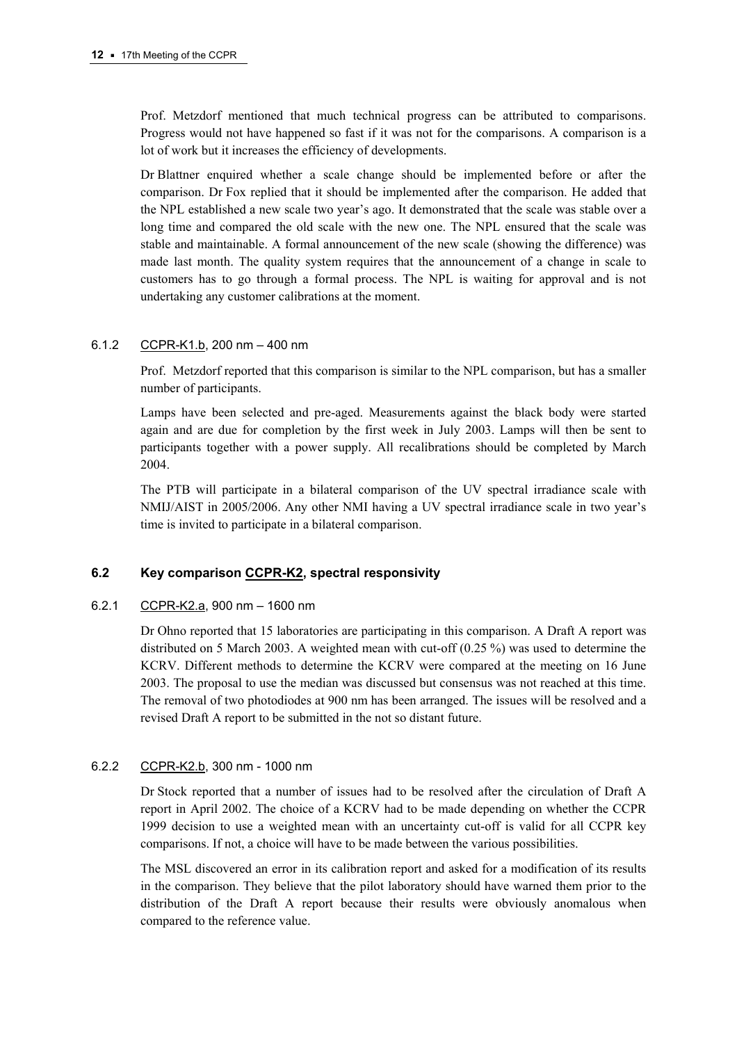Prof. Metzdorf mentioned that much technical progress can be attributed to comparisons. Progress would not have happened so fast if it was not for the comparisons. A comparison is a lot of work but it increases the efficiency of developments.

Dr Blattner enquired whether a scale change should be implemented before or after the comparison. Dr Fox replied that it should be implemented after the comparison. He added that the NPL established a new scale two year's ago. It demonstrated that the scale was stable over a long time and compared the old scale with the new one. The NPL ensured that the scale was stable and maintainable. A formal announcement of the new scale (showing the difference) was made last month. The quality system requires that the announcement of a change in scale to customers has to go through a formal process. The NPL is waiting for approval and is not undertaking any customer calibrations at the moment.

## 6.1.2 [CCPR-K1.b, 2](http://kcdb.bipm.org/AppendixB/KCDB_ApB_info.asp?cmp_idy=481&cmp_cod=CCPR%2DK1%2Eb+&page=1&search=2&cmp_cod_search=CCPR%2DK1&met_idy=&bra_idy=&epo_idy=&cmt_idy=&ett_idy_org=&lab_idy=)00 nm – 400 nm

Prof. Metzdorf reported that this comparison is similar to the NPL comparison, but has a smaller number of participants.

Lamps have been selected and pre-aged. Measurements against the black body were started again and are due for completion by the first week in July 2003. Lamps will then be sent to participants together with a power supply. All recalibrations should be completed by March 2004.

The PTB will participate in a bilateral comparison of the UV spectral irradiance scale with NMIJ/AIST in 2005/2006. Any other NMI having a UV spectral irradiance scale in two year's time is invited to participate in a bilateral comparison.

# **6.2 Key compariso[n CCPR-K2, s](http://kcdb.bipm.org/AppendixB/KCDB_ApB_search_result.asp?search=2&cmp_cod_search=CCPR-K2&match_exact=0)pectral responsivity**

## 6.2.1 [CCPR-K2.a, 9](http://kcdb.bipm.org/AppendixB/KCDB_ApB_info.asp?cmp_idy=483&cmp_cod=CCPR%2DK2%2Ea&page=1&search=2&cmp_cod_search=CCPR%2DK2&met_idy=&bra_idy=&epo_idy=&cmt_idy=&ett_idy_org=&lab_idy=)00 nm – 1600 nm

Dr Ohno reported that 15 laboratories are participating in this comparison. A Draft A report was distributed on 5 March 2003. A weighted mean with cut-off (0.25 %) was used to determine the KCRV. Different methods to determine the KCRV were compared at the meeting on 16 June 2003. The proposal to use the median was discussed but consensus was not reached at this time. The removal of two photodiodes at 900 nm has been arranged. The issues will be resolved and a revised Draft A report to be submitted in the not so distant future.

# 6.2.2 [CCPR-K2.b, 3](http://kcdb.bipm.org/AppendixB/KCDB_ApB_info.asp?cmp_idy=484&cmp_cod=CCPR%2DK2%2Eb&page=1&search=2&cmp_cod_search=CCPR%2DK2&met_idy=&bra_idy=&epo_idy=&cmt_idy=&ett_idy_org=&lab_idy=)00 nm - 1000 nm

Dr Stock reported that a number of issues had to be resolved after the circulation of Draft A report in April 2002. The choice of a KCRV had to be made depending on whether the CCPR 1999 decision to use a weighted mean with an uncertainty cut-off is valid for all CCPR key comparisons. If not, a choice will have to be made between the various possibilities.

The MSL discovered an error in its calibration report and asked for a modification of its results in the comparison. They believe that the pilot laboratory should have warned them prior to the distribution of the Draft A report because their results were obviously anomalous when compared to the reference value.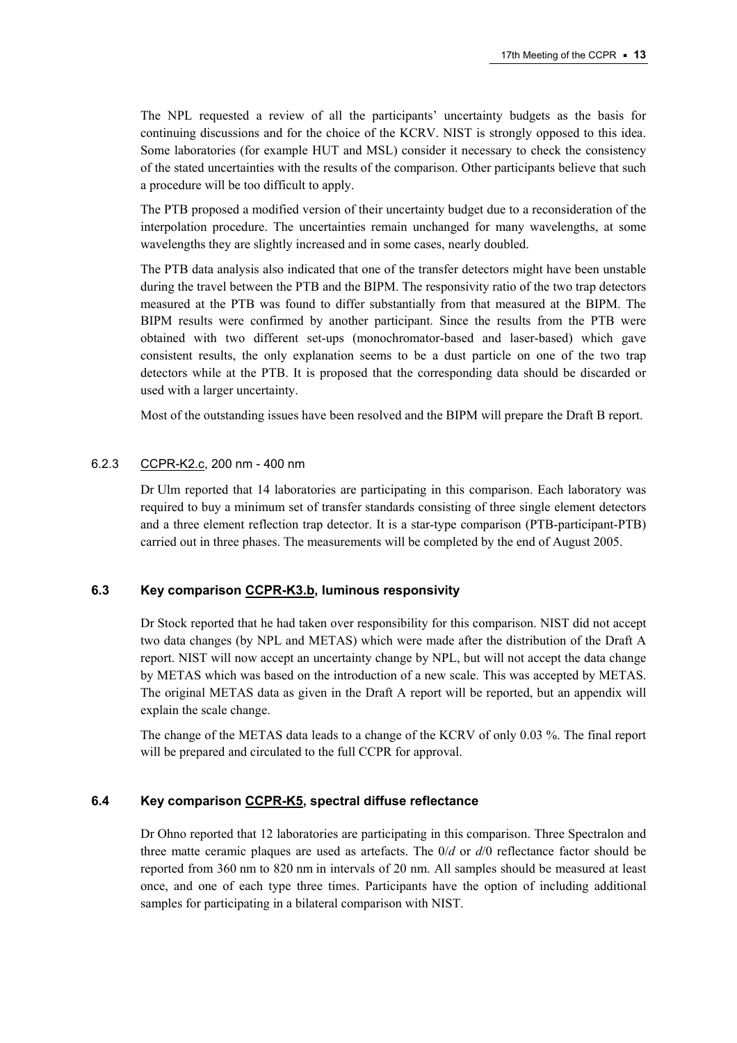The NPL requested a review of all the participants' uncertainty budgets as the basis for continuing discussions and for the choice of the KCRV. NIST is strongly opposed to this idea. Some laboratories (for example HUT and MSL) consider it necessary to check the consistency of the stated uncertainties with the results of the comparison. Other participants believe that such a procedure will be too difficult to apply.

The PTB proposed a modified version of their uncertainty budget due to a reconsideration of the interpolation procedure. The uncertainties remain unchanged for many wavelengths, at some wavelengths they are slightly increased and in some cases, nearly doubled.

The PTB data analysis also indicated that one of the transfer detectors might have been unstable during the travel between the PTB and the BIPM. The responsivity ratio of the two trap detectors measured at the PTB was found to differ substantially from that measured at the BIPM. The BIPM results were confirmed by another participant. Since the results from the PTB were obtained with two different set-ups (monochromator-based and laser-based) which gave consistent results, the only explanation seems to be a dust particle on one of the two trap detectors while at the PTB. It is proposed that the corresponding data should be discarded or used with a larger uncertainty.

Most of the outstanding issues have been resolved and the BIPM will prepare the Draft B report.

#### 6.2.3 [CCPR-K2.c, 2](http://kcdb.bipm.org/AppendixB/KCDB_ApB_info.asp?cmp_idy=485&cmp_cod=CCPR%2DK2%2Ec&page=1&search=2&cmp_cod_search=CCPR%2DK2&met_idy=&bra_idy=&epo_idy=&cmt_idy=&ett_idy_org=&lab_idy=)00 nm - 400 nm

Dr Ulm reported that 14 laboratories are participating in this comparison. Each laboratory was required to buy a minimum set of transfer standards consisting of three single element detectors and a three element reflection trap detector. It is a star-type comparison (PTB-participant-PTB) carried out in three phases. The measurements will be completed by the end of August 2005.

## **6.3 Key comparis[on CCPR-K3.b, lu](http://kcdb.bipm.org/AppendixB/KCDB_ApB_info.asp?cmp_idy=489&cmp_cod=CCPR%2DK3%2Eb&page=1&search=2&cmp_cod_search=CCPR%2DK3%2Eb&met_idy=&bra_idy=&epo_idy=&cmt_idy=&ett_idy_org=&lab_idy=)minous responsivity**

Dr Stock reported that he had taken over responsibility for this comparison. NIST did not accept two data changes (by NPL and METAS) which were made after the distribution of the Draft A report. NIST will now accept an uncertainty change by NPL, but will not accept the data change by METAS which was based on the introduction of a new scale. This was accepted by METAS. The original METAS data as given in the Draft A report will be reported, but an appendix will explain the scale change.

The change of the METAS data leads to a change of the KCRV of only 0.03 %. The final report will be prepared and circulated to the full CCPR for approval.

#### **6.4 Key compariso[n CCPR-K5, sp](http://kcdb.bipm.org/AppendixB/KCDB_ApB_info.asp?cmp_idy=491&cmp_cod=CCPR%2DK5&page=1&search=2&cmp_cod_search=CCPR%2DK5&met_idy=&bra_idy=&epo_idy=&cmt_idy=&ett_idy_org=&lab_idy=)ectral diffuse reflectance**

Dr Ohno reported that 12 laboratories are participating in this comparison. Three Spectralon and three matte ceramic plaques are used as artefacts. The 0/*d* or *d*/0 reflectance factor should be reported from 360 nm to 820 nm in intervals of 20 nm. All samples should be measured at least once, and one of each type three times. Participants have the option of including additional samples for participating in a bilateral comparison with NIST.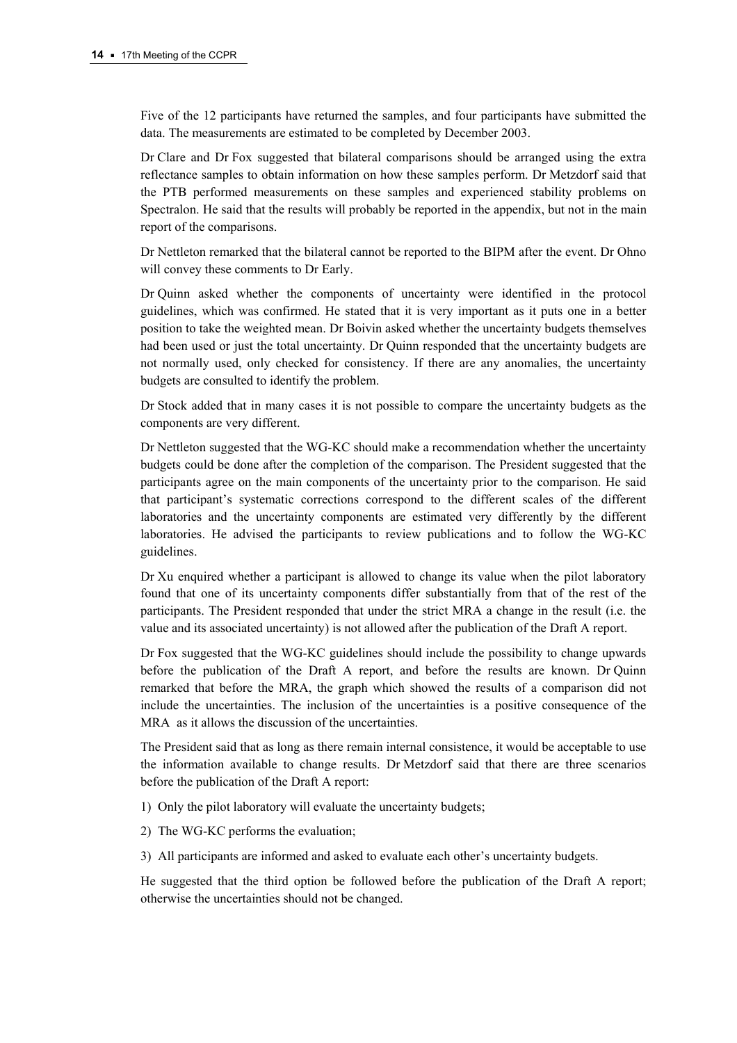Five of the 12 participants have returned the samples, and four participants have submitted the data. The measurements are estimated to be completed by December 2003.

Dr Clare and Dr Fox suggested that bilateral comparisons should be arranged using the extra reflectance samples to obtain information on how these samples perform. Dr Metzdorf said that the PTB performed measurements on these samples and experienced stability problems on Spectralon. He said that the results will probably be reported in the appendix, but not in the main report of the comparisons.

Dr Nettleton remarked that the bilateral cannot be reported to the BIPM after the event. Dr Ohno will convey these comments to Dr Early.

Dr Quinn asked whether the components of uncertainty were identified in the protocol guidelines, which was confirmed. He stated that it is very important as it puts one in a better position to take the weighted mean. Dr Boivin asked whether the uncertainty budgets themselves had been used or just the total uncertainty. Dr Quinn responded that the uncertainty budgets are not normally used, only checked for consistency. If there are any anomalies, the uncertainty budgets are consulted to identify the problem.

Dr Stock added that in many cases it is not possible to compare the uncertainty budgets as the components are very different.

Dr Nettleton suggested that the WG-KC should make a recommendation whether the uncertainty budgets could be done after the completion of the comparison. The President suggested that the participants agree on the main components of the uncertainty prior to the comparison. He said that participant's systematic corrections correspond to the different scales of the different laboratories and the uncertainty components are estimated very differently by the different laboratories. He advised the participants to review publications and to follow the WG-KC guidelines.

Dr Xu enquired whether a participant is allowed to change its value when the pilot laboratory found that one of its uncertainty components differ substantially from that of the rest of the participants. The President responded that under the strict MRA a change in the result (i.e. the value and its associated uncertainty) is not allowed after the publication of the Draft A report.

Dr Fox suggested that the WG-KC guidelines should include the possibility to change upwards before the publication of the Draft A report, and before the results are known. Dr Quinn remarked that before the MRA, the graph which showed the results of a comparison did not include the uncertainties. The inclusion of the uncertainties is a positive consequence of the MRA as it allows the discussion of the uncertainties.

The President said that as long as there remain internal consistence, it would be acceptable to use the information available to change results. Dr Metzdorf said that there are three scenarios before the publication of the Draft A report:

1) Only the pilot laboratory will evaluate the uncertainty budgets;

2) The WG-KC performs the evaluation;

3) All participants are informed and asked to evaluate each other's uncertainty budgets.

He suggested that the third option be followed before the publication of the Draft A report; otherwise the uncertainties should not be changed.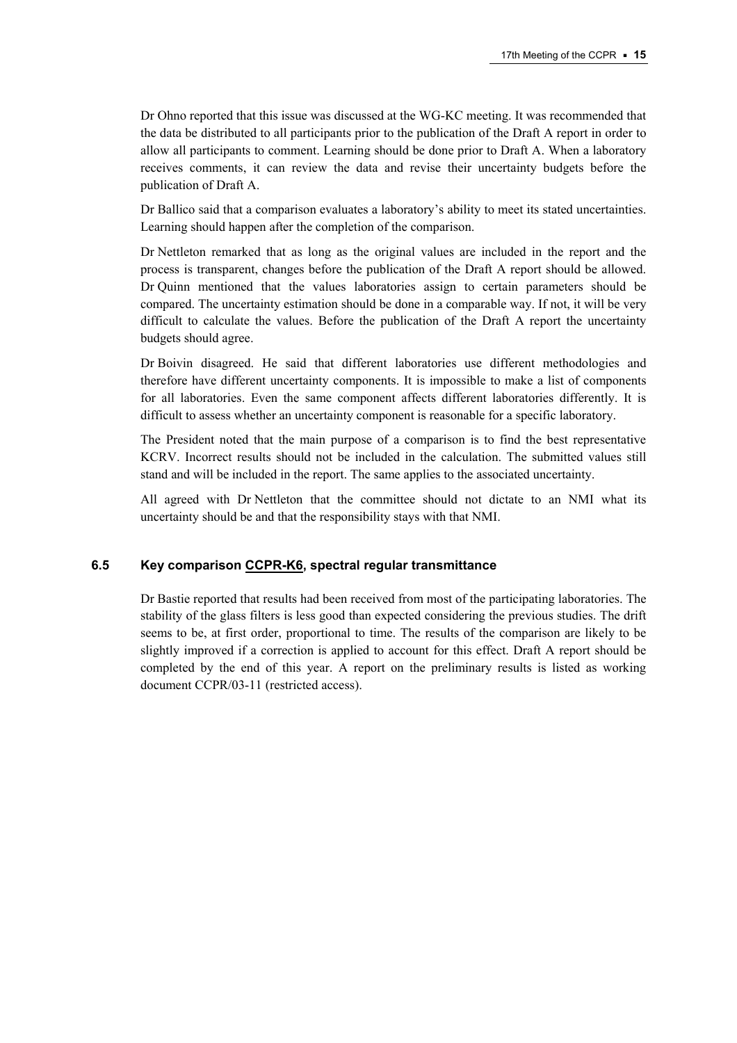Dr Ohno reported that this issue was discussed at the WG-KC meeting. It was recommended that the data be distributed to all participants prior to the publication of the Draft A report in order to allow all participants to comment. Learning should be done prior to Draft A. When a laboratory receives comments, it can review the data and revise their uncertainty budgets before the publication of Draft A.

Dr Ballico said that a comparison evaluates a laboratory's ability to meet its stated uncertainties. Learning should happen after the completion of the comparison.

Dr Nettleton remarked that as long as the original values are included in the report and the process is transparent, changes before the publication of the Draft A report should be allowed. Dr Quinn mentioned that the values laboratories assign to certain parameters should be compared. The uncertainty estimation should be done in a comparable way. If not, it will be very difficult to calculate the values. Before the publication of the Draft A report the uncertainty budgets should agree.

Dr Boivin disagreed. He said that different laboratories use different methodologies and therefore have different uncertainty components. It is impossible to make a list of components for all laboratories. Even the same component affects different laboratories differently. It is difficult to assess whether an uncertainty component is reasonable for a specific laboratory.

The President noted that the main purpose of a comparison is to find the best representative KCRV. Incorrect results should not be included in the calculation. The submitted values still stand and will be included in the report. The same applies to the associated uncertainty.

All agreed with Dr Nettleton that the committee should not dictate to an NMI what its uncertainty should be and that the responsibility stays with that NMI.

## **6.5 Key comparis[on CCPR-K6, sp](http://kcdb.bipm.org/AppendixB/KCDB_ApB_info.asp?cmp_idy=492&cmp_cod=CCPR%2DK6&page=1&search=2&cmp_cod_search=CCPR%2DK6&met_idy=&bra_idy=&epo_idy=&cmt_idy=&ett_idy_org=&lab_idy=)ectral regular transmittance**

Dr Bastie reported that results had been received from most of the participating laboratories. The stability of the glass filters is less good than expected considering the previous studies. The drift seems to be, at first order, proportional to time. The results of the comparison are likely to be slightly improved if a correction is applied to account for this effect. Draft A report should be completed by the end of this year. A report on the preliminary results is listed as working document CCPR/03-11 (restricted access).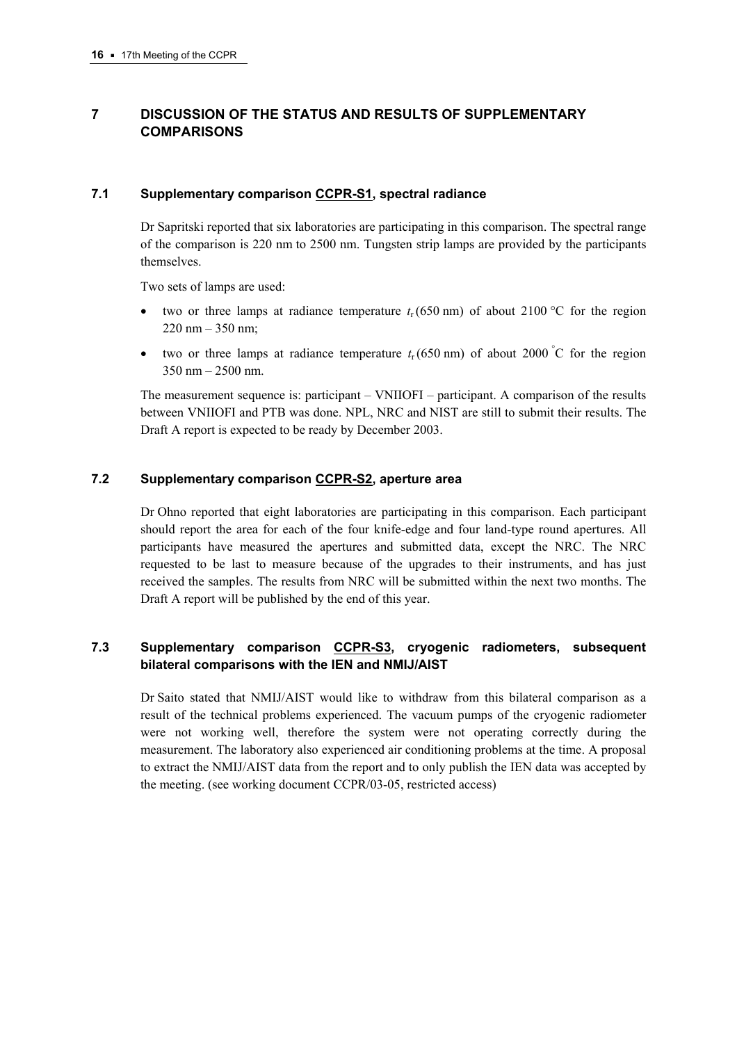# **7 DISCUSSION OF THE STATUS AND RESULTS OF SUPPLEMENTARY COMPARISONS**

## **7.1 Supplementary comparis[on CCPR-S1, sp](http://kcdb.bipm.org/AppendixB/KCDB_ApB_info.asp?cmp_idy=493&cmp_cod=CCPR%2DS1&page=1&search=2&cmp_cod_search=CCPR%2DS1&met_idy=&bra_idy=&epo_idy=&cmt_idy=&ett_idy_org=&lab_idy=)ectral radiance**

Dr Sapritski reported that six laboratories are participating in this comparison. The spectral range of the comparison is 220 nm to 2500 nm. Tungsten strip lamps are provided by the participants themselves.

Two sets of lamps are used:

- two or three lamps at radiance temperature  $t_r$  (650 nm) of about 2100 °C for the region  $220 \text{ nm} - 350 \text{ nm}$ ;
- two or three lamps at radiance temperature  $t_r$  (650 nm) of about 2000 °C for the region 350 nm – 2500 nm.

The measurement sequence is: participant – VNIIOFI – participant. A comparison of the results between VNIIOFI and PTB was done. NPL, NRC and NIST are still to submit their results. The Draft A report is expected to be ready by December 2003.

## **7.2 Supplementary compariso[n CCPR-S2, ape](http://kcdb.bipm.org/AppendixB/KCDB_ApB_info.asp?cmp_idy=494&cmp_cod=CCPR%2DS2&page=1&search=2&cmp_cod_search=CCPR%2DS2&met_idy=&bra_idy=&epo_idy=&cmt_idy=&ett_idy_org=&lab_idy=)rture area**

Dr Ohno reported that eight laboratories are participating in this comparison. Each participant should report the area for each of the four knife-edge and four land-type round apertures. All participants have measured the apertures and submitted data, except the NRC. The NRC requested to be last to measure because of the upgrades to their instruments, and has just received the samples. The results from NRC will be submitted within the next two months. The Draft A report will be published by the end of this year.

# **7.3 Supplementary comparison [CCPR-S3,](http://kcdb.bipm.org/AppendixB/KCDB_ApB_info.asp?cmp_idy=495&cmp_cod=CCPR%2DS3&page=1&search=2&cmp_cod_search=CCPR%2DS3&met_idy=&bra_idy=&epo_idy=&cmt_idy=&ett_idy_org=&lab_idy=) cryogenic radiometers, subsequent bilateral comparisons with the IEN and NMIJ/AIST**

Dr Saito stated that NMIJ/AIST would like to withdraw from this bilateral comparison as a result of the technical problems experienced. The vacuum pumps of the cryogenic radiometer were not working well, therefore the system were not operating correctly during the measurement. The laboratory also experienced air conditioning problems at the time. A proposal to extract the NMIJ/AIST data from the report and to only publish the IEN data was accepted by the meeting. (see working document CCPR/03-05, restricted access)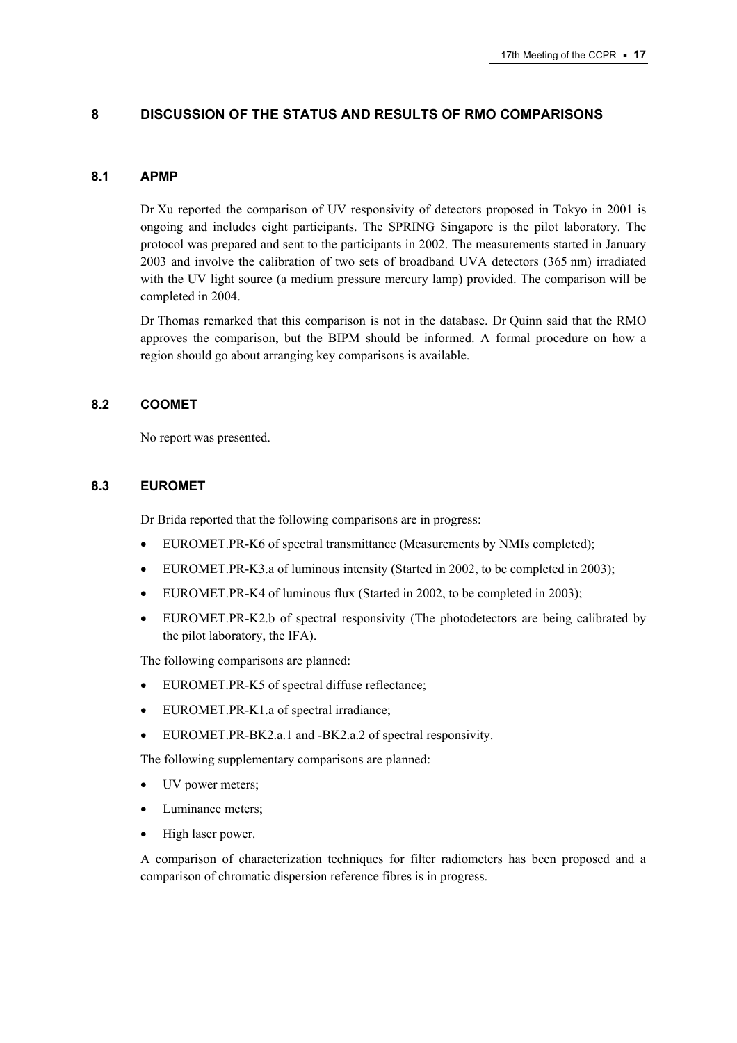## **8 DISCUSSION OF THE STATUS AND RESULTS OF RMO COMPARISONS**

#### **8.1 APMP**

Dr Xu reported the comparison of UV responsivity of detectors proposed in Tokyo in 2001 is ongoing and includes eight participants. The SPRING Singapore is the pilot laboratory. The protocol was prepared and sent to the participants in 2002. The measurements started in January 2003 and involve the calibration of two sets of broadband UVA detectors (365 nm) irradiated with the UV light source (a medium pressure mercury lamp) provided. The comparison will be completed in 2004.

Dr Thomas remarked that this comparison is not in the database. Dr Quinn said that the RMO approves the comparison, but the BIPM should be informed. A formal procedure on how a region should go about arranging key comparisons is available.

#### **8.2 COOMET**

No report was presented.

## **8.3 EUROMET**

Dr Brida reported that the following comparisons are in progress:

- EUROMET.PR-K6 of spectral transmittance (Measurements by NMIs completed);
- EUROMET.PR-K3.a of luminous intensity (Started in 2002, to be completed in 2003);
- EUROMET.PR-K4 of luminous flux (Started in 2002, to be completed in 2003);
- EUROMET.PR-K2.b of spectral responsivity (The photodetectors are being calibrated by the pilot laboratory, the IFA).

The following comparisons are planned:

- EUROMET.PR-K5 of spectral diffuse reflectance:
- EUROMET.PR-K1.a of spectral irradiance;
- EUROMET.PR-BK2.a.1 and -BK2.a.2 of spectral responsivity.

The following supplementary comparisons are planned:

- UV power meters;
- Luminance meters;
- High laser power.

A comparison of characterization techniques for filter radiometers has been proposed and a comparison of chromatic dispersion reference fibres is in progress.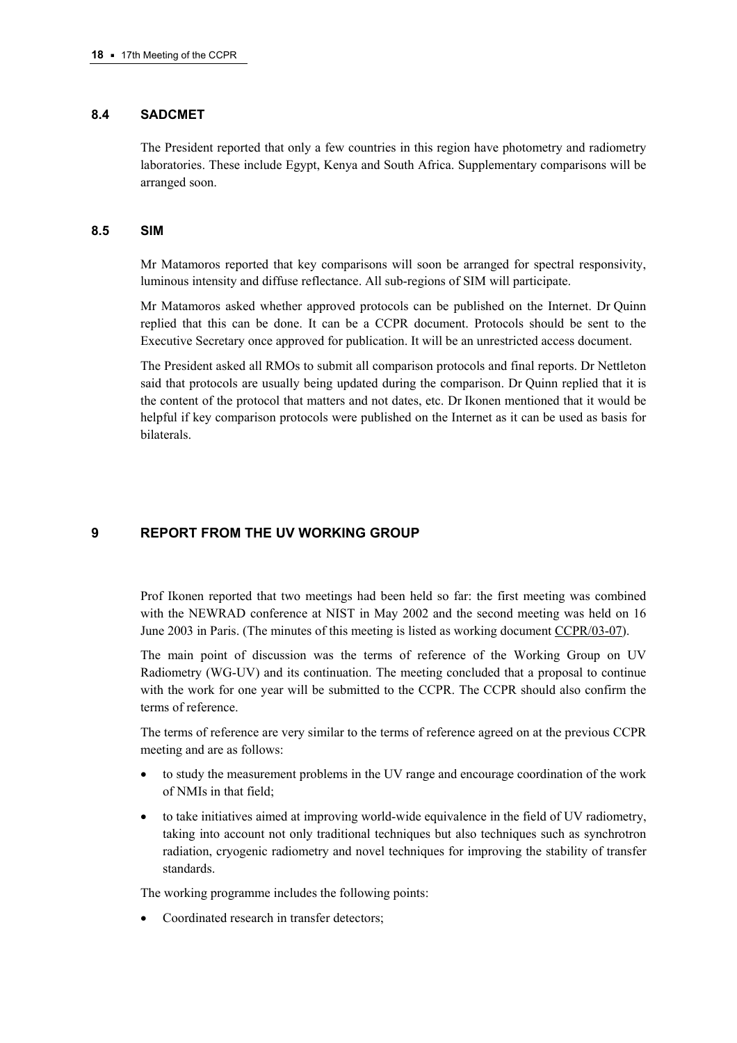## **8.4 SADCMET**

The President reported that only a few countries in this region have photometry and radiometry laboratories. These include Egypt, Kenya and South Africa. Supplementary comparisons will be arranged soon.

#### **8.5 SIM**

Mr Matamoros reported that key comparisons will soon be arranged for spectral responsivity, luminous intensity and diffuse reflectance. All sub-regions of SIM will participate.

Mr Matamoros asked whether approved protocols can be published on the Internet. Dr Quinn replied that this can be done. It can be a CCPR document. Protocols should be sent to the Executive Secretary once approved for publication. It will be an unrestricted access document.

The President asked all RMOs to submit all comparison protocols and final reports. Dr Nettleton said that protocols are usually being updated during the comparison. Dr Quinn replied that it is the content of the protocol that matters and not dates, etc. Dr Ikonen mentioned that it would be helpful if key comparison protocols were published on the Internet as it can be used as basis for bilaterals.

# **9 REPORT FROM THE UV WORKING GROUP**

Prof Ikonen reported that two meetings had been held so far: the first meeting was combined with the NEWRAD conference at NIST in May 2002 and the second meeting was held on 16 June 2003 in Paris. (The minutes of this meeting is listed as working docume[nt CCPR/03-07\).](https://www.bipm.org/cc/CCPR/Allowed/17/CCPR03-07.pdf) 

The main point of discussion was the terms of reference of the Working Group on UV Radiometry (WG-UV) and its continuation. The meeting concluded that a proposal to continue with the work for one year will be submitted to the CCPR. The CCPR should also confirm the terms of reference.

The terms of reference are very similar to the terms of reference agreed on at the previous CCPR meeting and are as follows:

- to study the measurement problems in the UV range and encourage coordination of the work of NMIs in that field;
- to take initiatives aimed at improving world-wide equivalence in the field of UV radiometry, taking into account not only traditional techniques but also techniques such as synchrotron radiation, cryogenic radiometry and novel techniques for improving the stability of transfer standards.

The working programme includes the following points:

Coordinated research in transfer detectors: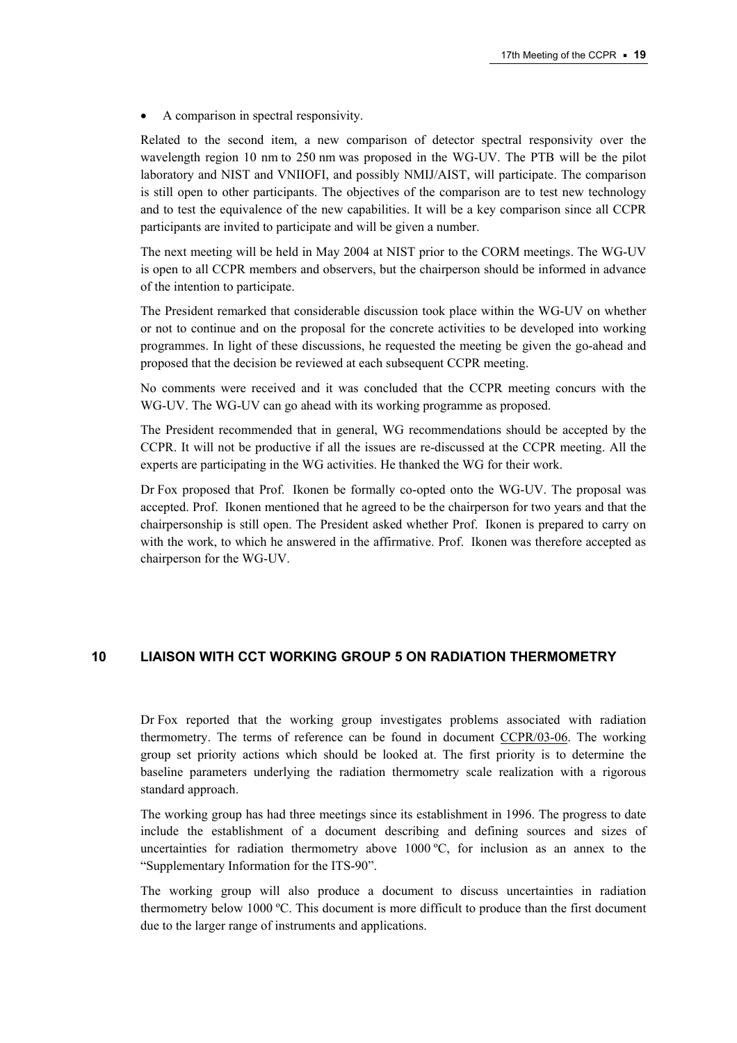• A comparison in spectral responsivity.

Related to the second item, a new comparison of detector spectral responsivity over the wavelength region 10 nm to 250 nm was proposed in the WG-UV. The PTB will be the pilot laboratory and NIST and VNIIOFI, and possibly NMIJ/AIST, will participate. The comparison is still open to other participants. The objectives of the comparison are to test new technology and to test the equivalence of the new capabilities. It will be a key comparison since all CCPR participants are invited to participate and will be given a number.

The next meeting will be held in May 2004 at NIST prior to the CORM meetings. The WG-UV is open to all CCPR members and observers, but the chairperson should be informed in advance of the intention to participate.

The President remarked that considerable discussion took place within the WG-UV on whether or not to continue and on the proposal for the concrete activities to be developed into working programmes. In light of these discussions, he requested the meeting be given the go-ahead and proposed that the decision be reviewed at each subsequent CCPR meeting.

No comments were received and it was concluded that the CCPR meeting concurs with the WG-UV. The WG-UV can go ahead with its working programme as proposed.

The President recommended that in general, WG recommendations should be accepted by the CCPR. It will not be productive if all the issues are re-discussed at the CCPR meeting. All the experts are participating in the WG activities. He thanked the WG for their work.

Dr Fox proposed that Prof. Ikonen be formally co-opted onto the WG-UV. The proposal was accepted. Prof. Ikonen mentioned that he agreed to be the chairperson for two years and that the chairpersonship is still open. The President asked whether Prof. Ikonen is prepared to carry on with the work, to which he answered in the affirmative. Prof. Ikonen was therefore accepted as chairperson for the WG-UV.

# **10 LIAISON WITH CCT WORKING GROUP 5 ON RADIATION THERMOMETRY**

Dr Fox reported that the working group investigates problems associated with radiation thermometry. The terms of reference can be found in documen[t CCPR/03-06. T](https://www.bipm.org/cc/CCPR/Allowed/17/CCPR03-06.pdf)he working group set priority actions which should be looked at. The first priority is to determine the baseline parameters underlying the radiation thermometry scale realization with a rigorous standard approach.

The working group has had three meetings since its establishment in 1996. The progress to date include the establishment of a document describing and defining sources and sizes of uncertainties for radiation thermometry above 1000  $\degree$ C, for inclusion as an annex to the "Supplementary Information for the ITS-90".

The working group will also produce a document to discuss uncertainties in radiation thermometry below 1000 ºC. This document is more difficult to produce than the first document due to the larger range of instruments and applications.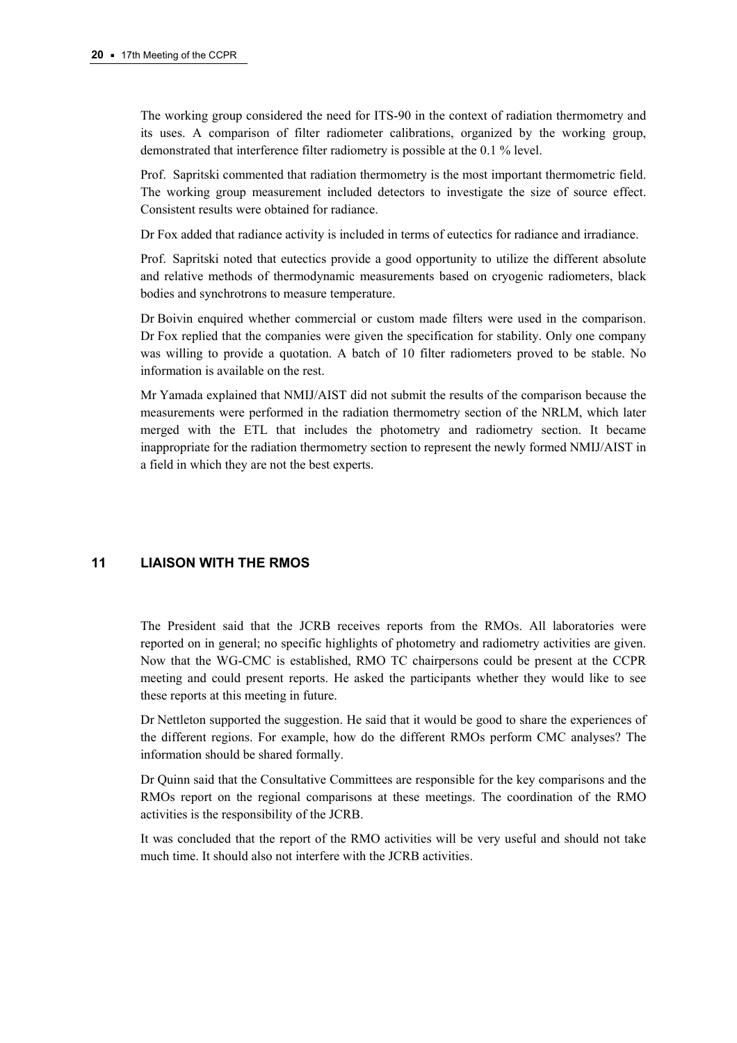The working group considered the need for ITS-90 in the context of radiation thermometry and its uses. A comparison of filter radiometer calibrations, organized by the working group, demonstrated that interference filter radiometry is possible at the 0.1 % level.

Prof. Sapritski commented that radiation thermometry is the most important thermometric field. The working group measurement included detectors to investigate the size of source effect. Consistent results were obtained for radiance.

Dr Fox added that radiance activity is included in terms of eutectics for radiance and irradiance.

Prof. Sapritski noted that eutectics provide a good opportunity to utilize the different absolute and relative methods of thermodynamic measurements based on cryogenic radiometers, black bodies and synchrotrons to measure temperature.

Dr Boivin enquired whether commercial or custom made filters were used in the comparison. Dr Fox replied that the companies were given the specification for stability. Only one company was willing to provide a quotation. A batch of 10 filter radiometers proved to be stable. No information is available on the rest.

Mr Yamada explained that NMIJ/AIST did not submit the results of the comparison because the measurements were performed in the radiation thermometry section of the NRLM, which later merged with the ETL that includes the photometry and radiometry section. It became inappropriate for the radiation thermometry section to represent the newly formed NMIJ/AIST in a field in which they are not the best experts.

# **11 LIAISON WITH THE RMOS**

The President said that the JCRB receives reports from the RMOs. All laboratories were reported on in general; no specific highlights of photometry and radiometry activities are given. Now that the WG-CMC is established, RMO TC chairpersons could be present at the CCPR meeting and could present reports. He asked the participants whether they would like to see these reports at this meeting in future.

Dr Nettleton supported the suggestion. He said that it would be good to share the experiences of the different regions. For example, how do the different RMOs perform CMC analyses? The information should be shared formally.

Dr Quinn said that the Consultative Committees are responsible for the key comparisons and the RMOs report on the regional comparisons at these meetings. The coordination of the RMO activities is the responsibility of the JCRB.

It was concluded that the report of the RMO activities will be very useful and should not take much time. It should also not interfere with the JCRB activities.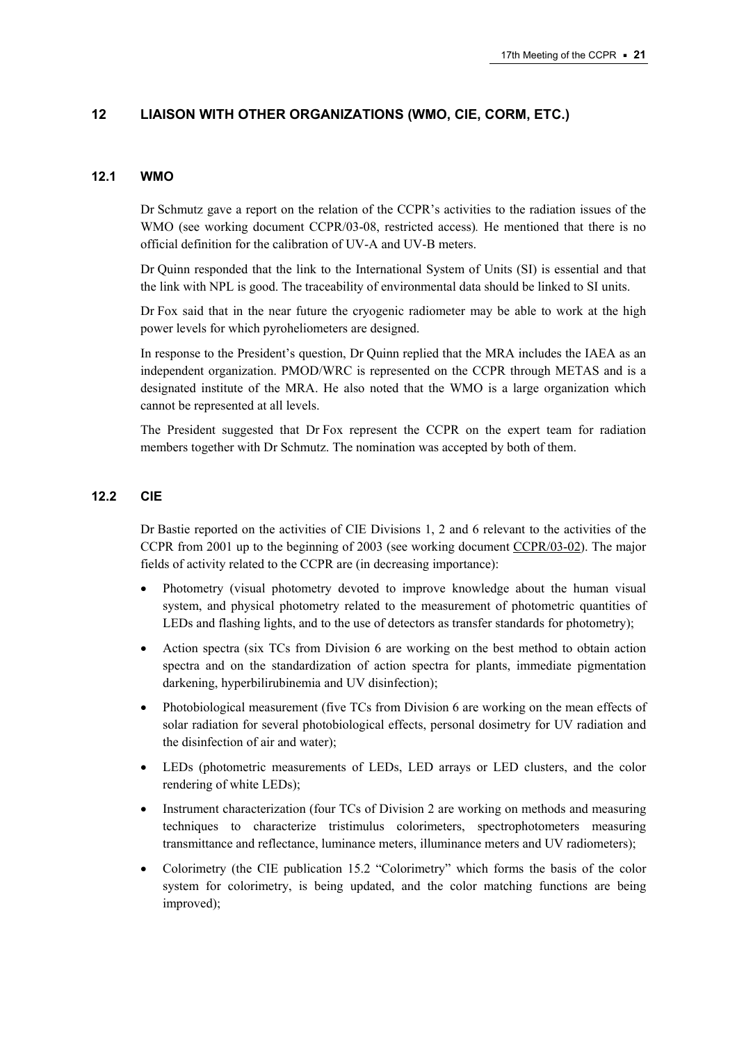# **12 LIAISON WITH OTHER ORGANIZATIONS (WMO, CIE, CORM, ETC.)**

## **12.1 WMO**

Dr Schmutz gave a report on the relation of the CCPR's activities to the radiation issues of the WMO (see working document CCPR/03-08, restricted access)*.* He mentioned that there is no official definition for the calibration of UV-A and UV-B meters.

Dr Quinn responded that the link to the International System of Units (SI) is essential and that the link with NPL is good. The traceability of environmental data should be linked to SI units.

Dr Fox said that in the near future the cryogenic radiometer may be able to work at the high power levels for which pyroheliometers are designed.

In response to the President's question, Dr Quinn replied that the MRA includes the IAEA as an independent organization. PMOD/WRC is represented on the CCPR through METAS and is a designated institute of the MRA. He also noted that the WMO is a large organization which cannot be represented at all levels.

The President suggested that Dr Fox represent the CCPR on the expert team for radiation members together with Dr Schmutz. The nomination was accepted by both of them.

## **12.2 CIE**

Dr Bastie reported on the activities of CIE Divisions 1, 2 and 6 relevant to the activities of the CCPR from 2001 up to the beginning of 2003 (see working docume[nt CCPR/03-02\). T](https://www.bipm.org/cc/CCPR/Allowed/17/CCPR03-02.pdf)he major fields of activity related to the CCPR are (in decreasing importance):

- Photometry (visual photometry devoted to improve knowledge about the human visual system, and physical photometry related to the measurement of photometric quantities of LEDs and flashing lights, and to the use of detectors as transfer standards for photometry);
- Action spectra (six TCs from Division 6 are working on the best method to obtain action spectra and on the standardization of action spectra for plants, immediate pigmentation darkening, hyperbilirubinemia and UV disinfection);
- Photobiological measurement (five TCs from Division 6 are working on the mean effects of solar radiation for several photobiological effects, personal dosimetry for UV radiation and the disinfection of air and water);
- LEDs (photometric measurements of LEDs, LED arrays or LED clusters, and the color rendering of white LEDs);
- Instrument characterization (four TCs of Division 2 are working on methods and measuring techniques to characterize tristimulus colorimeters, spectrophotometers measuring transmittance and reflectance, luminance meters, illuminance meters and UV radiometers);
- Colorimetry (the CIE publication 15.2 "Colorimetry" which forms the basis of the color system for colorimetry, is being updated, and the color matching functions are being improved);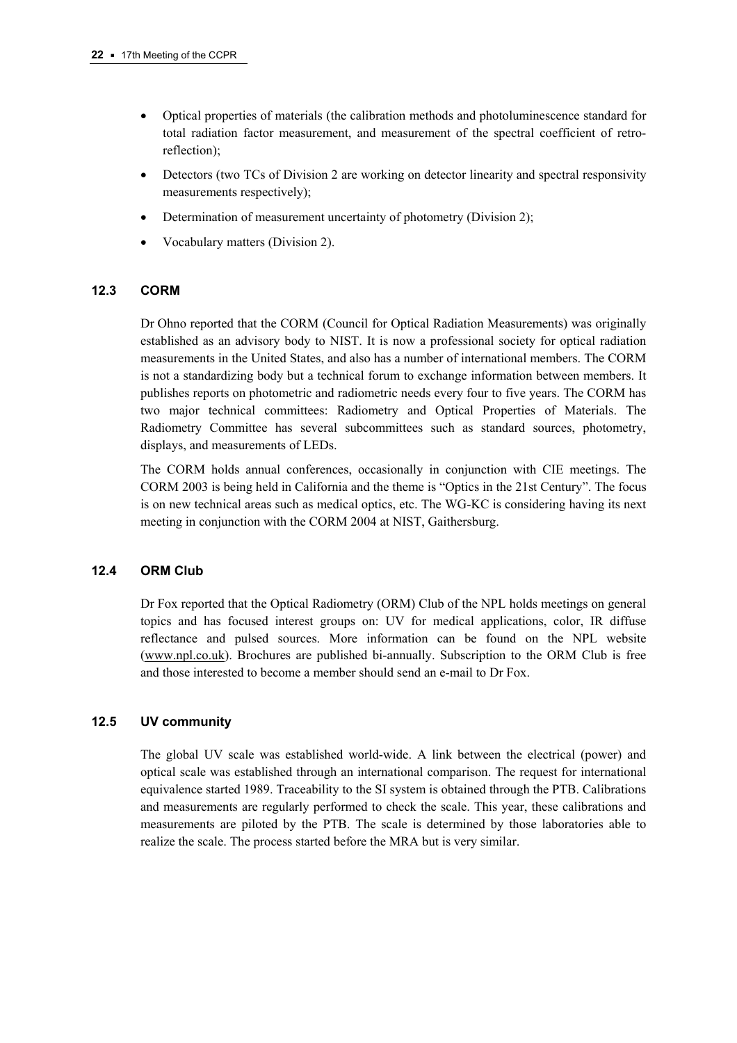- Optical properties of materials (the calibration methods and photoluminescence standard for total radiation factor measurement, and measurement of the spectral coefficient of retroreflection);
- Detectors (two TCs of Division 2 are working on detector linearity and spectral responsivity measurements respectively);
- Determination of measurement uncertainty of photometry (Division 2);
- Vocabulary matters (Division 2).

## **12.3 CORM**

Dr Ohno reported that the CORM (Council for Optical Radiation Measurements) was originally established as an advisory body to NIST. It is now a professional society for optical radiation measurements in the United States, and also has a number of international members. The CORM is not a standardizing body but a technical forum to exchange information between members. It publishes reports on photometric and radiometric needs every four to five years. The CORM has two major technical committees: Radiometry and Optical Properties of Materials. The Radiometry Committee has several subcommittees such as standard sources, photometry, displays, and measurements of LEDs.

The CORM holds annual conferences, occasionally in conjunction with CIE meetings. The CORM 2003 is being held in California and the theme is "Optics in the 21st Century". The focus is on new technical areas such as medical optics, etc. The WG-KC is considering having its next meeting in conjunction with the CORM 2004 at NIST, Gaithersburg.

## **12.4 ORM Club**

Dr Fox reported that the Optical Radiometry (ORM) Club of the NPL holds meetings on general topics and has focused interest groups on: UV for medical applications, color, IR diffuse reflectance and pulsed sources. More information can be found on the NPL website [\(www.npl.co.uk\). B](http://www.npl.co.uk/)rochures are published bi-annually. Subscription to the ORM Club is free and those interested to become a member should send an e-mail to Dr Fox.

# **12.5 UV community**

The global UV scale was established world-wide. A link between the electrical (power) and optical scale was established through an international comparison. The request for international equivalence started 1989. Traceability to the SI system is obtained through the PTB. Calibrations and measurements are regularly performed to check the scale. This year, these calibrations and measurements are piloted by the PTB. The scale is determined by those laboratories able to realize the scale. The process started before the MRA but is very similar.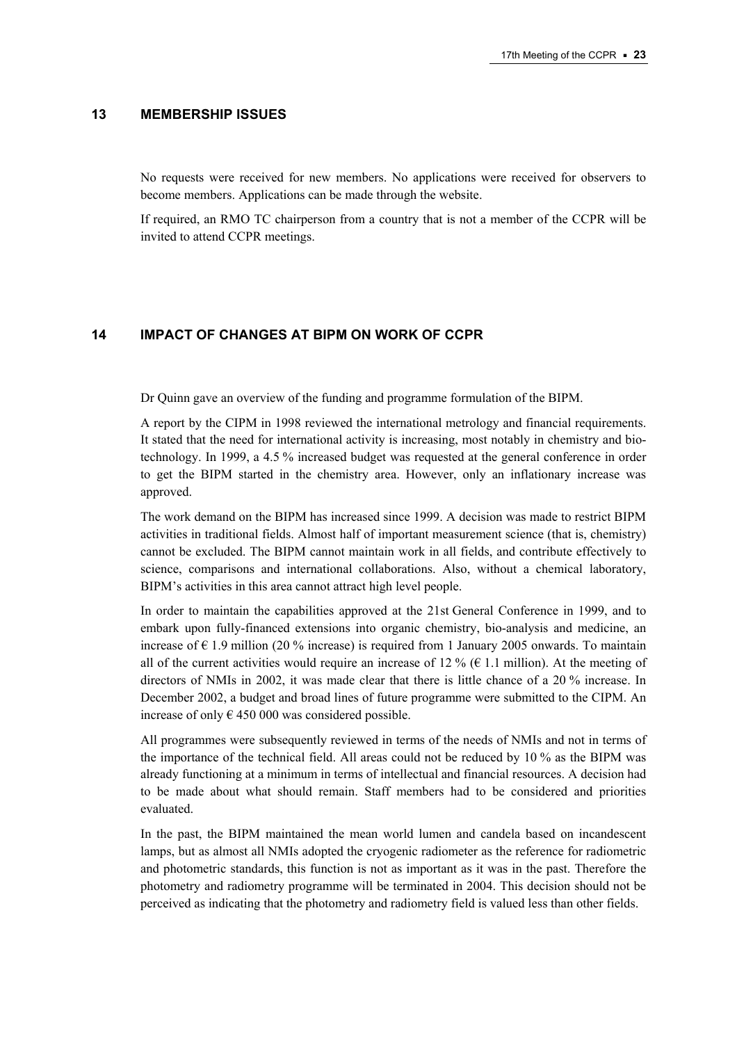#### **13 MEMBERSHIP ISSUES**

No requests were received for new members. No applications were received for observers to become members. Applications can be made through the website.

If required, an RMO TC chairperson from a country that is not a member of the CCPR will be invited to attend CCPR meetings.

## **14 IMPACT OF CHANGES AT BIPM ON WORK OF CCPR**

Dr Quinn gave an overview of the funding and programme formulation of the BIPM.

A report by the CIPM in 1998 reviewed the international metrology and financial requirements. It stated that the need for international activity is increasing, most notably in chemistry and biotechnology. In 1999, a 4.5 % increased budget was requested at the general conference in order to get the BIPM started in the chemistry area. However, only an inflationary increase was approved.

The work demand on the BIPM has increased since 1999. A decision was made to restrict BIPM activities in traditional fields. Almost half of important measurement science (that is, chemistry) cannot be excluded. The BIPM cannot maintain work in all fields, and contribute effectively to science, comparisons and international collaborations. Also, without a chemical laboratory, BIPM's activities in this area cannot attract high level people.

In order to maintain the capabilities approved at the 21st General Conference in 1999, and to embark upon fully-financed extensions into organic chemistry, bio-analysis and medicine, an increase of  $\epsilon$  1.9 million (20 % increase) is required from 1 January 2005 onwards. To maintain all of the current activities would require an increase of 12 % ( $\epsilon$  1.1 million). At the meeting of directors of NMIs in 2002, it was made clear that there is little chance of a 20 % increase. In December 2002, a budget and broad lines of future programme were submitted to the CIPM. An increase of only  $\epsilon$  450 000 was considered possible.

All programmes were subsequently reviewed in terms of the needs of NMIs and not in terms of the importance of the technical field. All areas could not be reduced by 10 % as the BIPM was already functioning at a minimum in terms of intellectual and financial resources. A decision had to be made about what should remain. Staff members had to be considered and priorities evaluated.

In the past, the BIPM maintained the mean world lumen and candela based on incandescent lamps, but as almost all NMIs adopted the cryogenic radiometer as the reference for radiometric and photometric standards, this function is not as important as it was in the past. Therefore the photometry and radiometry programme will be terminated in 2004. This decision should not be perceived as indicating that the photometry and radiometry field is valued less than other fields.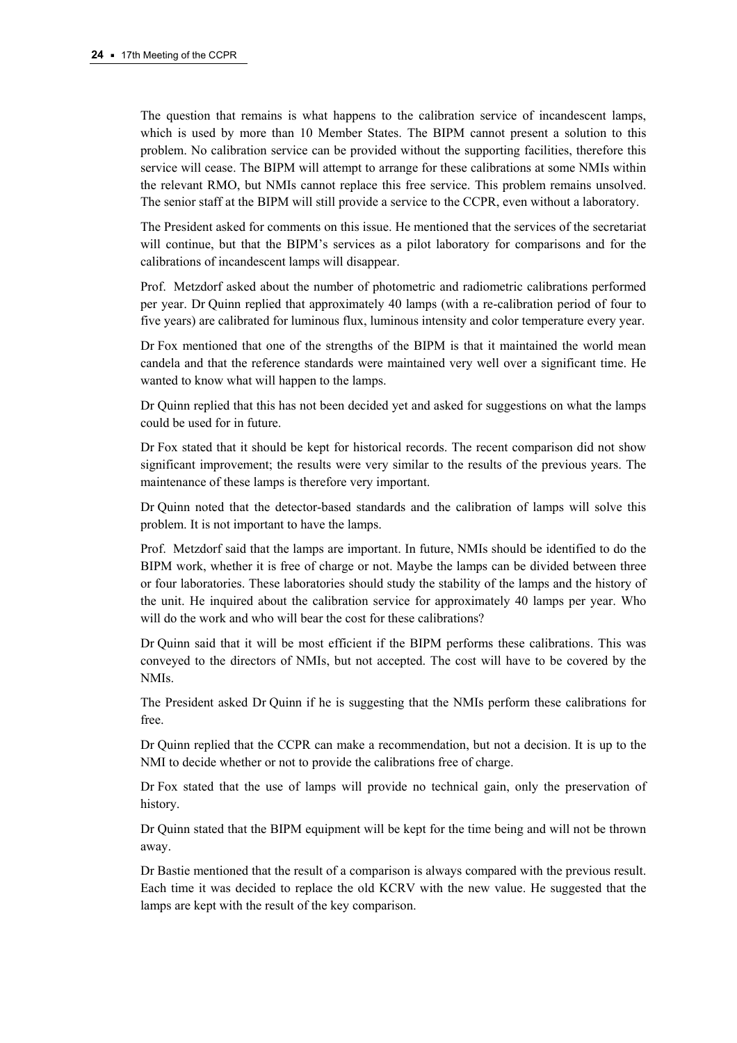The question that remains is what happens to the calibration service of incandescent lamps, which is used by more than 10 Member States. The BIPM cannot present a solution to this problem. No calibration service can be provided without the supporting facilities, therefore this service will cease. The BIPM will attempt to arrange for these calibrations at some NMIs within the relevant RMO, but NMIs cannot replace this free service. This problem remains unsolved. The senior staff at the BIPM will still provide a service to the CCPR, even without a laboratory.

The President asked for comments on this issue. He mentioned that the services of the secretariat will continue, but that the BIPM's services as a pilot laboratory for comparisons and for the calibrations of incandescent lamps will disappear.

Prof. Metzdorf asked about the number of photometric and radiometric calibrations performed per year. Dr Quinn replied that approximately 40 lamps (with a re-calibration period of four to five years) are calibrated for luminous flux, luminous intensity and color temperature every year.

Dr Fox mentioned that one of the strengths of the BIPM is that it maintained the world mean candela and that the reference standards were maintained very well over a significant time. He wanted to know what will happen to the lamps.

Dr Quinn replied that this has not been decided yet and asked for suggestions on what the lamps could be used for in future.

Dr Fox stated that it should be kept for historical records. The recent comparison did not show significant improvement; the results were very similar to the results of the previous years. The maintenance of these lamps is therefore very important.

Dr Quinn noted that the detector-based standards and the calibration of lamps will solve this problem. It is not important to have the lamps.

Prof. Metzdorf said that the lamps are important. In future, NMIs should be identified to do the BIPM work, whether it is free of charge or not. Maybe the lamps can be divided between three or four laboratories. These laboratories should study the stability of the lamps and the history of the unit. He inquired about the calibration service for approximately 40 lamps per year. Who will do the work and who will bear the cost for these calibrations?

Dr Quinn said that it will be most efficient if the BIPM performs these calibrations. This was conveyed to the directors of NMIs, but not accepted. The cost will have to be covered by the NMIs.

The President asked Dr Quinn if he is suggesting that the NMIs perform these calibrations for free.

Dr Quinn replied that the CCPR can make a recommendation, but not a decision. It is up to the NMI to decide whether or not to provide the calibrations free of charge.

Dr Fox stated that the use of lamps will provide no technical gain, only the preservation of history.

Dr Quinn stated that the BIPM equipment will be kept for the time being and will not be thrown away.

Dr Bastie mentioned that the result of a comparison is always compared with the previous result. Each time it was decided to replace the old KCRV with the new value. He suggested that the lamps are kept with the result of the key comparison.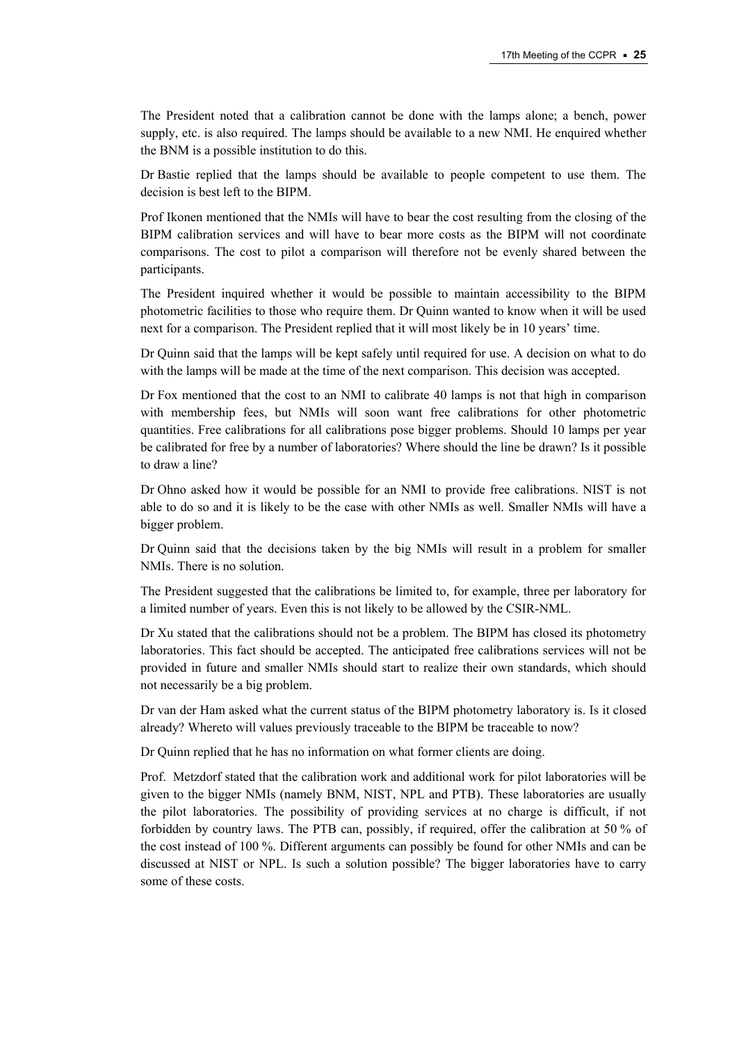The President noted that a calibration cannot be done with the lamps alone; a bench, power supply, etc. is also required. The lamps should be available to a new NMI. He enquired whether the BNM is a possible institution to do this.

Dr Bastie replied that the lamps should be available to people competent to use them. The decision is best left to the BIPM.

Prof Ikonen mentioned that the NMIs will have to bear the cost resulting from the closing of the BIPM calibration services and will have to bear more costs as the BIPM will not coordinate comparisons. The cost to pilot a comparison will therefore not be evenly shared between the participants.

The President inquired whether it would be possible to maintain accessibility to the BIPM photometric facilities to those who require them. Dr Quinn wanted to know when it will be used next for a comparison. The President replied that it will most likely be in 10 years' time.

Dr Quinn said that the lamps will be kept safely until required for use. A decision on what to do with the lamps will be made at the time of the next comparison. This decision was accepted.

Dr Fox mentioned that the cost to an NMI to calibrate 40 lamps is not that high in comparison with membership fees, but NMIs will soon want free calibrations for other photometric quantities. Free calibrations for all calibrations pose bigger problems. Should 10 lamps per year be calibrated for free by a number of laboratories? Where should the line be drawn? Is it possible to draw a line?

Dr Ohno asked how it would be possible for an NMI to provide free calibrations. NIST is not able to do so and it is likely to be the case with other NMIs as well. Smaller NMIs will have a bigger problem.

Dr Quinn said that the decisions taken by the big NMIs will result in a problem for smaller NMIs. There is no solution.

The President suggested that the calibrations be limited to, for example, three per laboratory for a limited number of years. Even this is not likely to be allowed by the CSIR-NML.

Dr Xu stated that the calibrations should not be a problem. The BIPM has closed its photometry laboratories. This fact should be accepted. The anticipated free calibrations services will not be provided in future and smaller NMIs should start to realize their own standards, which should not necessarily be a big problem.

Dr van der Ham asked what the current status of the BIPM photometry laboratory is. Is it closed already? Whereto will values previously traceable to the BIPM be traceable to now?

Dr Quinn replied that he has no information on what former clients are doing.

Prof. Metzdorf stated that the calibration work and additional work for pilot laboratories will be given to the bigger NMIs (namely BNM, NIST, NPL and PTB). These laboratories are usually the pilot laboratories. The possibility of providing services at no charge is difficult, if not forbidden by country laws. The PTB can, possibly, if required, offer the calibration at 50 % of the cost instead of 100 %. Different arguments can possibly be found for other NMIs and can be discussed at NIST or NPL. Is such a solution possible? The bigger laboratories have to carry some of these costs.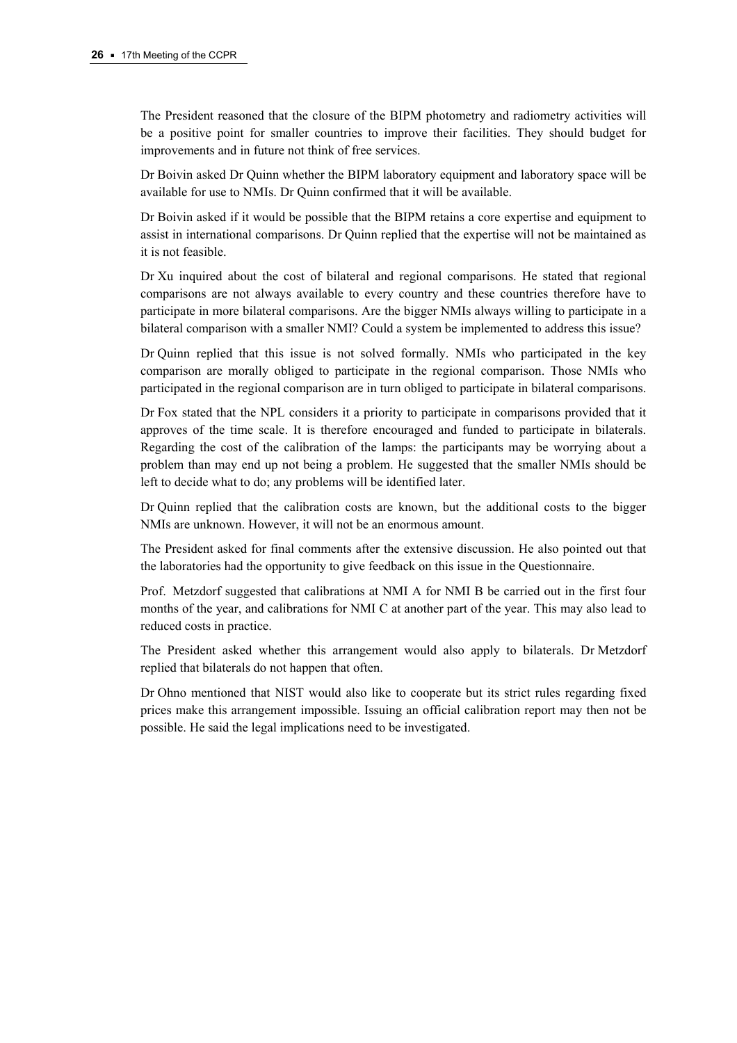The President reasoned that the closure of the BIPM photometry and radiometry activities will be a positive point for smaller countries to improve their facilities. They should budget for improvements and in future not think of free services.

Dr Boivin asked Dr Quinn whether the BIPM laboratory equipment and laboratory space will be available for use to NMIs. Dr Quinn confirmed that it will be available.

Dr Boivin asked if it would be possible that the BIPM retains a core expertise and equipment to assist in international comparisons. Dr Quinn replied that the expertise will not be maintained as it is not feasible.

Dr Xu inquired about the cost of bilateral and regional comparisons. He stated that regional comparisons are not always available to every country and these countries therefore have to participate in more bilateral comparisons. Are the bigger NMIs always willing to participate in a bilateral comparison with a smaller NMI? Could a system be implemented to address this issue?

Dr Quinn replied that this issue is not solved formally. NMIs who participated in the key comparison are morally obliged to participate in the regional comparison. Those NMIs who participated in the regional comparison are in turn obliged to participate in bilateral comparisons.

Dr Fox stated that the NPL considers it a priority to participate in comparisons provided that it approves of the time scale. It is therefore encouraged and funded to participate in bilaterals. Regarding the cost of the calibration of the lamps: the participants may be worrying about a problem than may end up not being a problem. He suggested that the smaller NMIs should be left to decide what to do; any problems will be identified later.

Dr Quinn replied that the calibration costs are known, but the additional costs to the bigger NMIs are unknown. However, it will not be an enormous amount.

The President asked for final comments after the extensive discussion. He also pointed out that the laboratories had the opportunity to give feedback on this issue in the Questionnaire.

Prof. Metzdorf suggested that calibrations at NMI A for NMI B be carried out in the first four months of the year, and calibrations for NMI C at another part of the year. This may also lead to reduced costs in practice.

The President asked whether this arrangement would also apply to bilaterals. Dr Metzdorf replied that bilaterals do not happen that often.

Dr Ohno mentioned that NIST would also like to cooperate but its strict rules regarding fixed prices make this arrangement impossible. Issuing an official calibration report may then not be possible. He said the legal implications need to be investigated.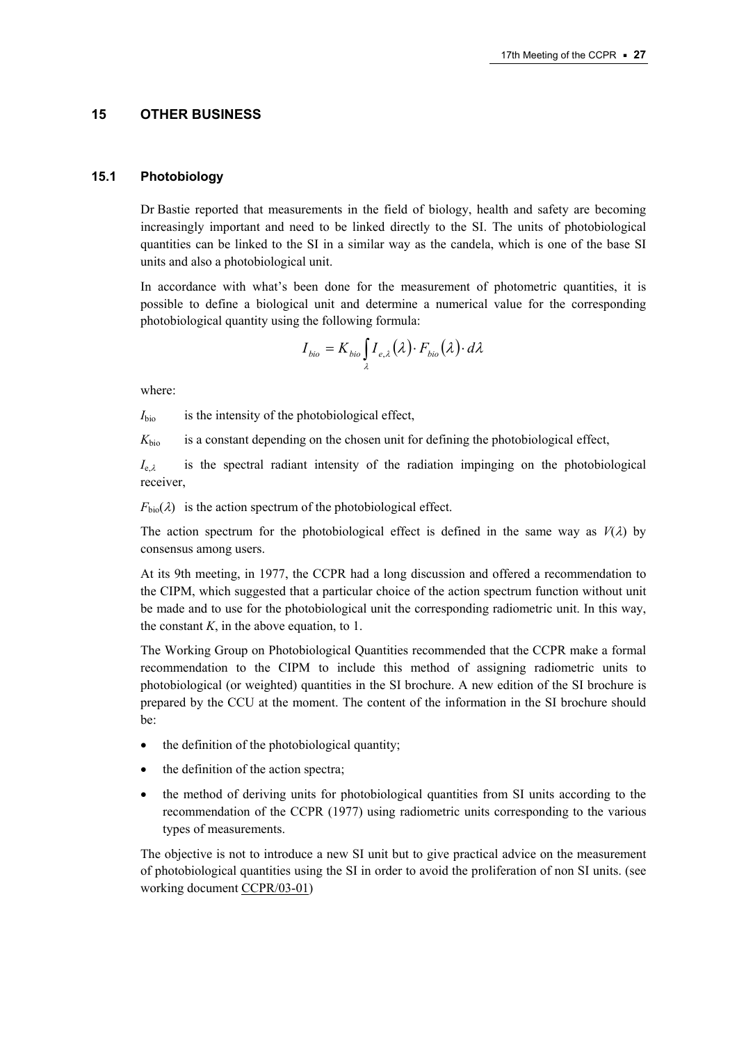#### **15 OTHER BUSINESS**

#### **15.1 Photobiology**

Dr Bastie reported that measurements in the field of biology, health and safety are becoming increasingly important and need to be linked directly to the SI. The units of photobiological quantities can be linked to the SI in a similar way as the candela, which is one of the base SI units and also a photobiological unit.

In accordance with what's been done for the measurement of photometric quantities, it is possible to define a biological unit and determine a numerical value for the corresponding photobiological quantity using the following formula:

$$
I_{bio} = K_{bio} \int_{\lambda} I_{e,\lambda}(\lambda) \cdot F_{bio}(\lambda) \cdot d\lambda
$$

where:

 $I<sub>bio</sub>$  is the intensity of the photobiological effect,

 $K<sub>bio</sub>$  is a constant depending on the chosen unit for defining the photobiological effect,

 $I_{e\lambda}$  is the spectral radiant intensity of the radiation impinging on the photobiological receiver,

 $F<sub>bio</sub>(\lambda)$  is the action spectrum of the photobiological effect.

The action spectrum for the photobiological effect is defined in the same way as  $V(\lambda)$  by consensus among users.

At its 9th meeting, in 1977, the CCPR had a long discussion and offered a recommendation to the CIPM, which suggested that a particular choice of the action spectrum function without unit be made and to use for the photobiological unit the corresponding radiometric unit. In this way, the constant  $K$ , in the above equation, to 1.

The Working Group on Photobiological Quantities recommended that the CCPR make a formal recommendation to the CIPM to include this method of assigning radiometric units to photobiological (or weighted) quantities in the SI brochure. A new edition of the SI brochure is prepared by the CCU at the moment. The content of the information in the SI brochure should be:

- the definition of the photobiological quantity;
- the definition of the action spectra;
- the method of deriving units for photobiological quantities from SI units according to the recommendation of the CCPR (1977) using radiometric units corresponding to the various types of measurements.

The objective is not to introduce a new SI unit but to give practical advice on the measurement of photobiological quantities using the SI in order to avoid the proliferation of non SI units. (see working docume[nt CCPR/03-01\)](https://www.bipm.org/cc/CCPR/Allowed/17/CCPR03-01.pdf)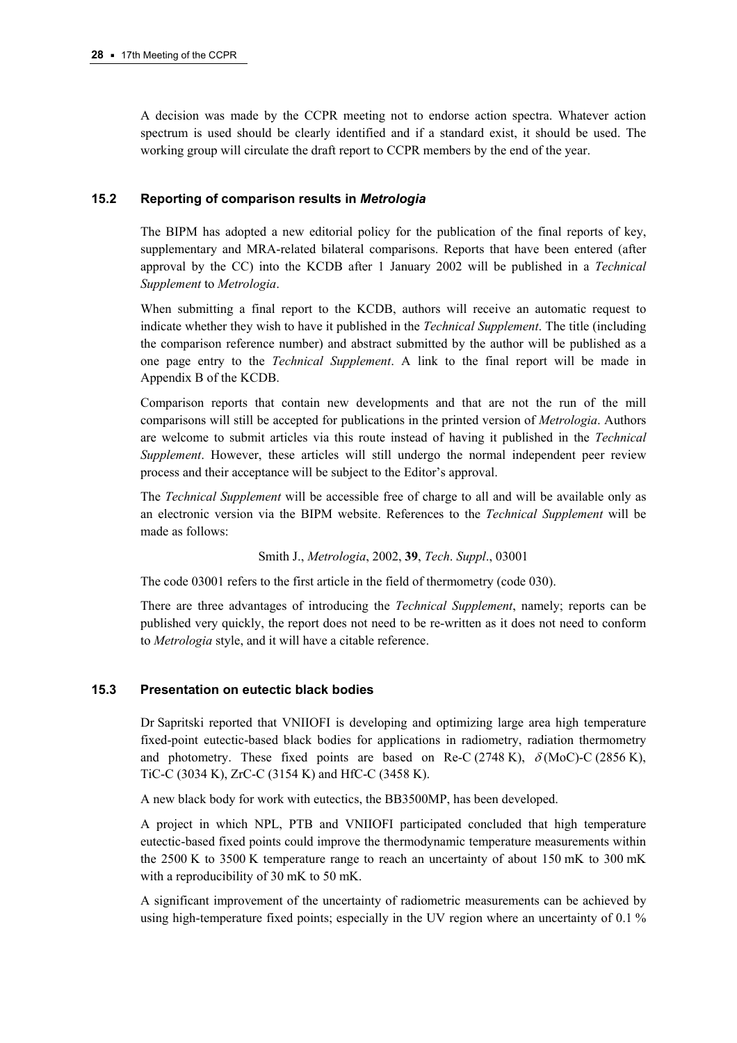A decision was made by the CCPR meeting not to endorse action spectra. Whatever action spectrum is used should be clearly identified and if a standard exist, it should be used. The working group will circulate the draft report to CCPR members by the end of the year.

## **15.2 Reporting of comparison results in** *Metrologia*

The BIPM has adopted a new editorial policy for the publication of the final reports of key, supplementary and MRA-related bilateral comparisons. Reports that have been entered (after approval by the CC) into the KCDB after 1 January 2002 will be published in a *Technical Supplement* to *Metrologia*.

When submitting a final report to the KCDB, authors will receive an automatic request to indicate whether they wish to have it published in the *Technical Supplement*. The title (including the comparison reference number) and abstract submitted by the author will be published as a one page entry to the *Technical Supplement*. A link to the final report will be made in Appendix B of the KCDB.

Comparison reports that contain new developments and that are not the run of the mill comparisons will still be accepted for publications in the printed version of *Metrologia*. Authors are welcome to submit articles via this route instead of having it published in the *Technical Supplement*. However, these articles will still undergo the normal independent peer review process and their acceptance will be subject to the Editor's approval.

The *Technical Supplement* will be accessible free of charge to all and will be available only as an electronic version via the BIPM website. References to the *Technical Supplement* will be made as follows:

Smith J., *Metrologia*, 2002, **39**, *Tech*. *Suppl*., 03001

The code 03001 refers to the first article in the field of thermometry (code 030).

There are three advantages of introducing the *Technical Supplement*, namely; reports can be published very quickly, the report does not need to be re-written as it does not need to conform to *Metrologia* style, and it will have a citable reference.

## **15.3 Presentation on eutectic black bodies**

Dr Sapritski reported that VNIIOFI is developing and optimizing large area high temperature fixed-point eutectic-based black bodies for applications in radiometry, radiation thermometry and photometry. These fixed points are based on Re-C (2748 K),  $\delta$  (MoC)-C (2856 K), TiC-C (3034 K), ZrC-C (3154 K) and HfC-C (3458 K).

A new black body for work with eutectics, the BB3500MP, has been developed.

A project in which NPL, PTB and VNIIOFI participated concluded that high temperature eutectic-based fixed points could improve the thermodynamic temperature measurements within the 2500 K to 3500 K temperature range to reach an uncertainty of about 150 mK to 300 mK with a reproducibility of 30 mK to 50 mK.

A significant improvement of the uncertainty of radiometric measurements can be achieved by using high-temperature fixed points; especially in the UV region where an uncertainty of 0.1 %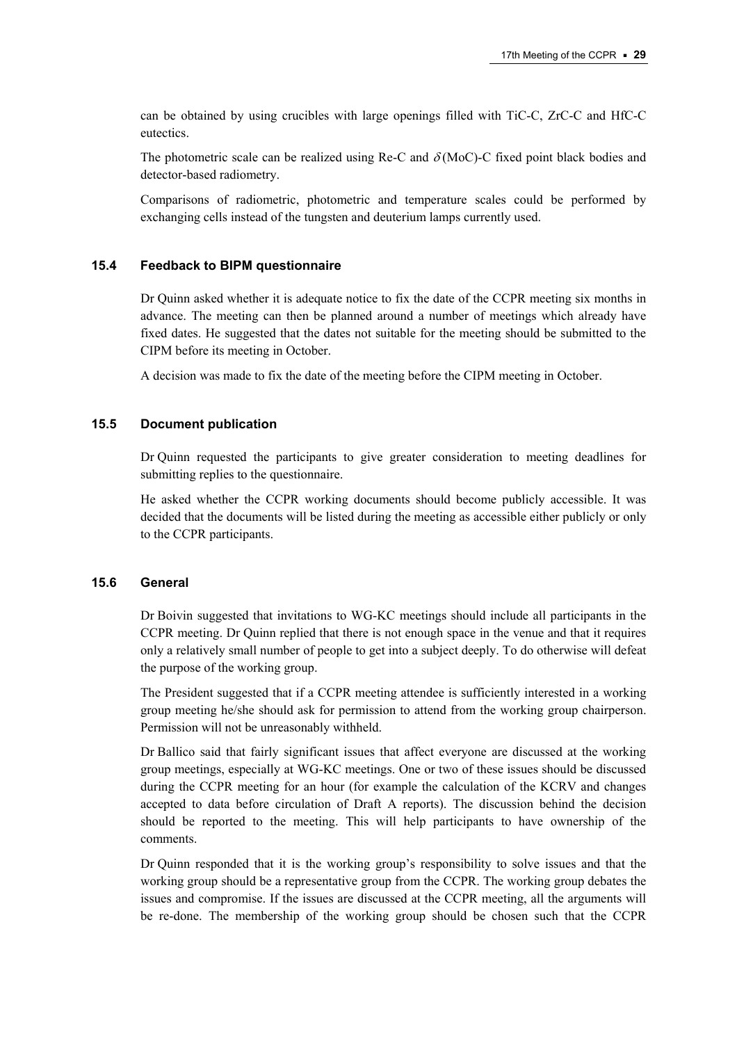can be obtained by using crucibles with large openings filled with TiC-C, ZrC-C and HfC-C eutectics.

The photometric scale can be realized using Re-C and  $\delta$ (MoC)-C fixed point black bodies and detector-based radiometry.

Comparisons of radiometric, photometric and temperature scales could be performed by exchanging cells instead of the tungsten and deuterium lamps currently used.

#### **15.4 Feedback to BIPM questionnaire**

Dr Quinn asked whether it is adequate notice to fix the date of the CCPR meeting six months in advance. The meeting can then be planned around a number of meetings which already have fixed dates. He suggested that the dates not suitable for the meeting should be submitted to the CIPM before its meeting in October.

A decision was made to fix the date of the meeting before the CIPM meeting in October.

#### **15.5 Document publication**

Dr Quinn requested the participants to give greater consideration to meeting deadlines for submitting replies to the questionnaire.

He asked whether the CCPR working documents should become publicly accessible. It was decided that the documents will be listed during the meeting as accessible either publicly or only to the CCPR participants.

#### **15.6 General**

Dr Boivin suggested that invitations to WG-KC meetings should include all participants in the CCPR meeting. Dr Quinn replied that there is not enough space in the venue and that it requires only a relatively small number of people to get into a subject deeply. To do otherwise will defeat the purpose of the working group.

The President suggested that if a CCPR meeting attendee is sufficiently interested in a working group meeting he/she should ask for permission to attend from the working group chairperson. Permission will not be unreasonably withheld.

Dr Ballico said that fairly significant issues that affect everyone are discussed at the working group meetings, especially at WG-KC meetings. One or two of these issues should be discussed during the CCPR meeting for an hour (for example the calculation of the KCRV and changes accepted to data before circulation of Draft A reports). The discussion behind the decision should be reported to the meeting. This will help participants to have ownership of the comments.

Dr Quinn responded that it is the working group's responsibility to solve issues and that the working group should be a representative group from the CCPR. The working group debates the issues and compromise. If the issues are discussed at the CCPR meeting, all the arguments will be re-done. The membership of the working group should be chosen such that the CCPR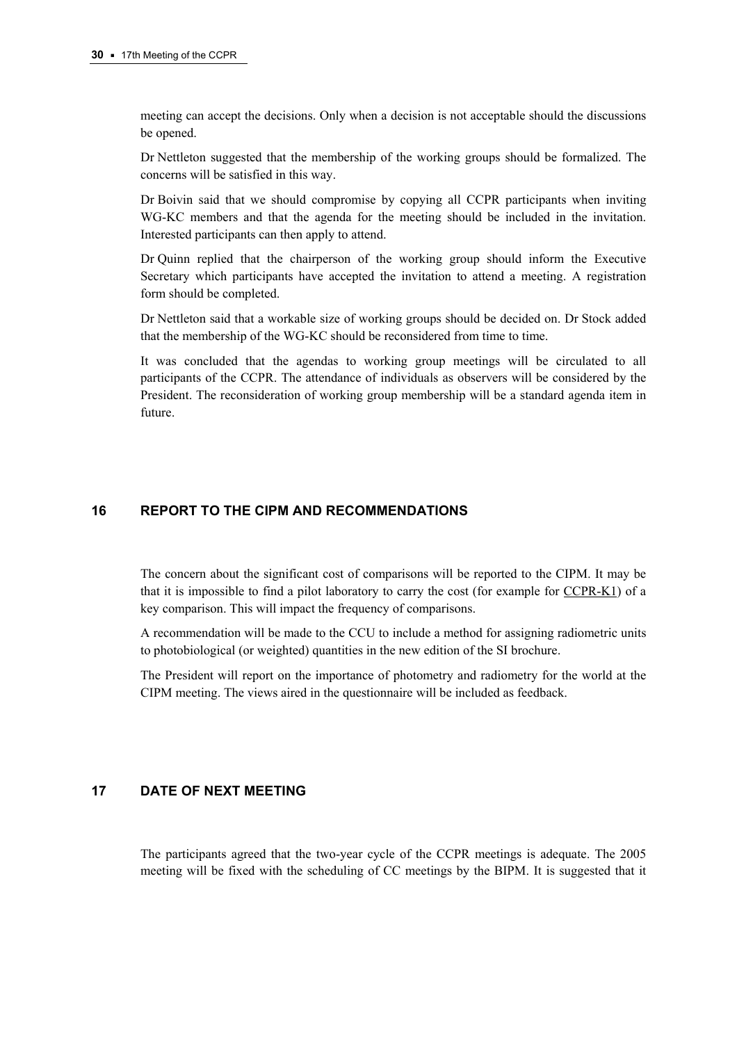meeting can accept the decisions. Only when a decision is not acceptable should the discussions be opened.

Dr Nettleton suggested that the membership of the working groups should be formalized. The concerns will be satisfied in this way.

Dr Boivin said that we should compromise by copying all CCPR participants when inviting WG-KC members and that the agenda for the meeting should be included in the invitation. Interested participants can then apply to attend.

Dr Quinn replied that the chairperson of the working group should inform the Executive Secretary which participants have accepted the invitation to attend a meeting. A registration form should be completed.

Dr Nettleton said that a workable size of working groups should be decided on. Dr Stock added that the membership of the WG-KC should be reconsidered from time to time.

It was concluded that the agendas to working group meetings will be circulated to all participants of the CCPR. The attendance of individuals as observers will be considered by the President. The reconsideration of working group membership will be a standard agenda item in future.

# **16 REPORT TO THE CIPM AND RECOMMENDATIONS**

The concern about the significant cost of comparisons will be reported to the CIPM. It may be that it is impossible to find a pilot laboratory to carry the cost (for example f[or CCPR-K1\) of](http://kcdb.bipm.org/AppendixB/KCDB_ApB_search_result.asp?search=2&cmp_cod_search=CCPR-K1&match_exact=0) a key comparison. This will impact the frequency of comparisons.

A recommendation will be made to the CCU to include a method for assigning radiometric units to photobiological (or weighted) quantities in the new edition of the SI brochure.

The President will report on the importance of photometry and radiometry for the world at the CIPM meeting. The views aired in the questionnaire will be included as feedback.

## **17 DATE OF NEXT MEETING**

The participants agreed that the two-year cycle of the CCPR meetings is adequate. The 2005 meeting will be fixed with the scheduling of CC meetings by the BIPM. It is suggested that it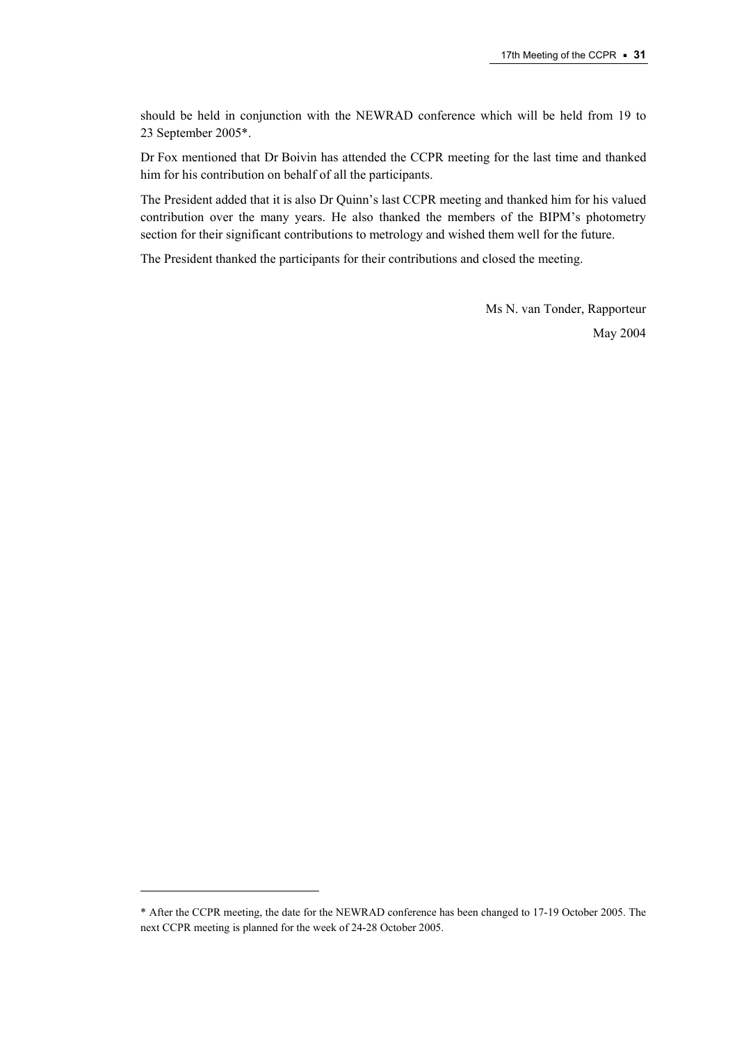should be held in conjunction with the NEWRAD conference which will be held from 19 to 23 September 2005\*.

Dr Fox mentioned that Dr Boivin has attended the CCPR meeting for the last time and thanked him for his contribution on behalf of all the participants.

The President added that it is also Dr Quinn's last CCPR meeting and thanked him for his valued contribution over the many years. He also thanked the members of the BIPM's photometry section for their significant contributions to metrology and wished them well for the future.

The President thanked the participants for their contributions and closed the meeting.

Ms N. van Tonder, Rapporteur May 2004

 $\overline{a}$ 

<sup>\*</sup> After the CCPR meeting, the date for the NEWRAD conference has been changed to 17-19 October 2005. The next CCPR meeting is planned for the week of 24-28 October 2005.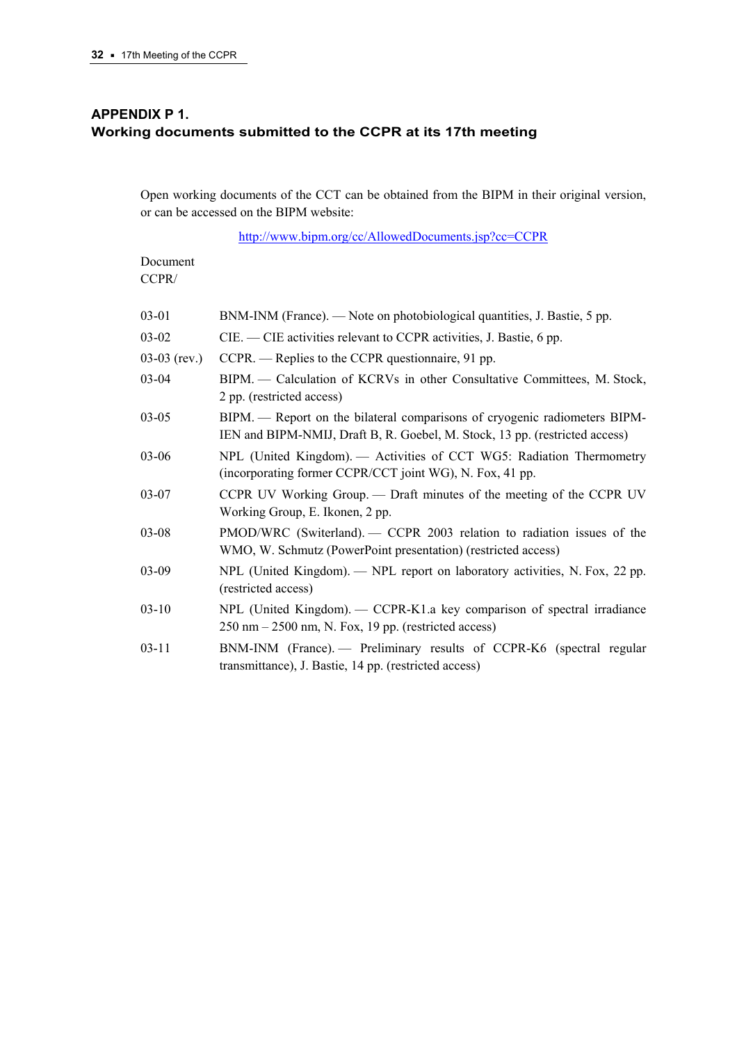# **APPENDIX P 1. Working documents submitted to the CCPR at its 17th meeting**

Open working documents of the CCT can be obtained from the BIPM in their original version, or can be accessed on the BIPM website:

[http://www.bipm.org/cc/AllowedDocuments.jsp?cc=CCPR](https://www.bipm.org/cc/AllowedDocuments.jsp?cc=CCPR)

Document CCPR/

| 03-01          | BNM-INM (France). — Note on photobiological quantities, J. Bastie, 5 pp.                                                                                  |
|----------------|-----------------------------------------------------------------------------------------------------------------------------------------------------------|
| 03-02          | CIE. — CIE activities relevant to CCPR activities, J. Bastie, 6 pp.                                                                                       |
| $03-03$ (rev.) | CCPR. — Replies to the CCPR questionnaire, 91 pp.                                                                                                         |
| 03-04          | BIPM. — Calculation of KCRVs in other Consultative Committees, M. Stock,<br>2 pp. (restricted access)                                                     |
| 03-05          | BIPM. — Report on the bilateral comparisons of cryogenic radiometers BIPM-<br>IEN and BIPM-NMIJ, Draft B, R. Goebel, M. Stock, 13 pp. (restricted access) |
| 03-06          | NPL (United Kingdom). — Activities of CCT WG5: Radiation Thermometry<br>(incorporating former CCPR/CCT joint WG), N. Fox, 41 pp.                          |
| 03-07          | CCPR UV Working Group. — Draft minutes of the meeting of the CCPR UV<br>Working Group, E. Ikonen, 2 pp.                                                   |
| 03-08          | PMOD/WRC (Switerland). — CCPR 2003 relation to radiation issues of the<br>WMO, W. Schmutz (PowerPoint presentation) (restricted access)                   |
| 03-09          | NPL (United Kingdom). — NPL report on laboratory activities, N. Fox, 22 pp.<br>(restricted access)                                                        |
| $03 - 10$      | NPL (United Kingdom). — CCPR-K1.a key comparison of spectral irradiance<br>$250 \text{ nm} - 2500 \text{ nm}$ , N. Fox, 19 pp. (restricted access)        |
| $03 - 11$      | BNM-INM (France). - Preliminary results of CCPR-K6 (spectral regular<br>transmittance), J. Bastie, 14 pp. (restricted access)                             |